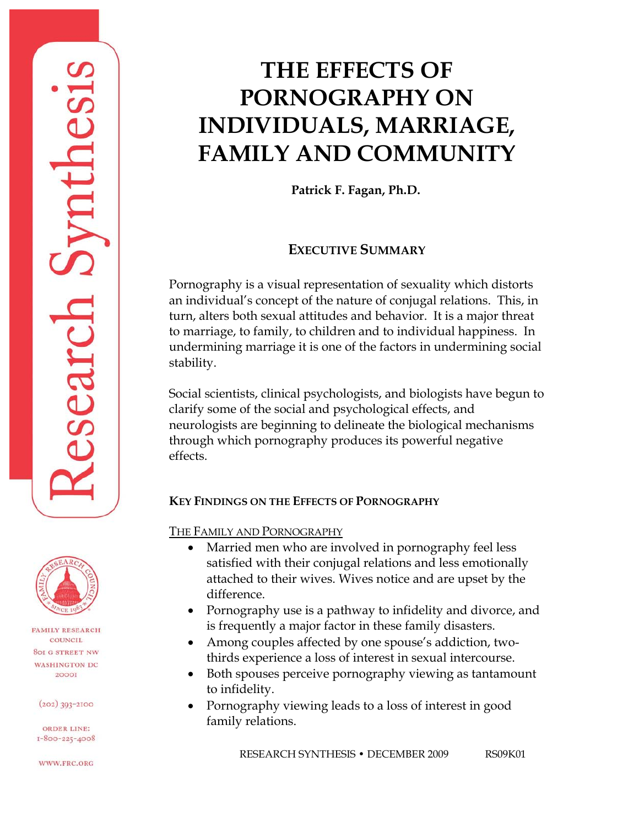# **THE EFFECTS OF PORNOGRAPHY ON INDIVIDUALS, MARRIAGE, FAMILY AND COMMUNITY**

**Patrick F. Fagan, Ph.D.**

# **EXECUTIVE SUMMARY**

Pornography is a visual representation of sexuality which distorts an individual's concept of the nature of conjugal relations. This, in turn, alters both sexual attitudes and behavior. It is a major threat to marriage, to family, to children and to individual happiness. In undermining marriage it is one of the factors in undermining social stability.

Social scientists, clinical psychologists, and biologists have begun to clarify some of the social and psychological effects, and neurologists are beginning to delineate the biological mechanisms through which pornography produces its powerful negative effects.

## **KEY FINDINGS ON THE EFFECTS OF PORNOGRAPHY**

THE FAMILY AND PORNOGRAPHY

- Married men who are involved in pornography feel less satisfied with their conjugal relations and less emotionally attached to their wives. Wives notice and are upset by the difference.
- Pornography use is a pathway to infidelity and divorce, and is frequently a major factor in these family disasters.
- Among couples affected by one spouse's addiction, twothirds experience a loss of interest in sexual intercourse.
- Both spouses perceive pornography viewing as tantamount to infidelity.
- Pornography viewing leads to a loss of interest in good family relations.





**FAMILY RESEARCH** COUNCIL **801 G STREET NW WASHINGTON DC** 20001

 $(202)$  393-2100

**ORDER LINE:**  $I-800-225-4008$ 

WWW.FRC.ORG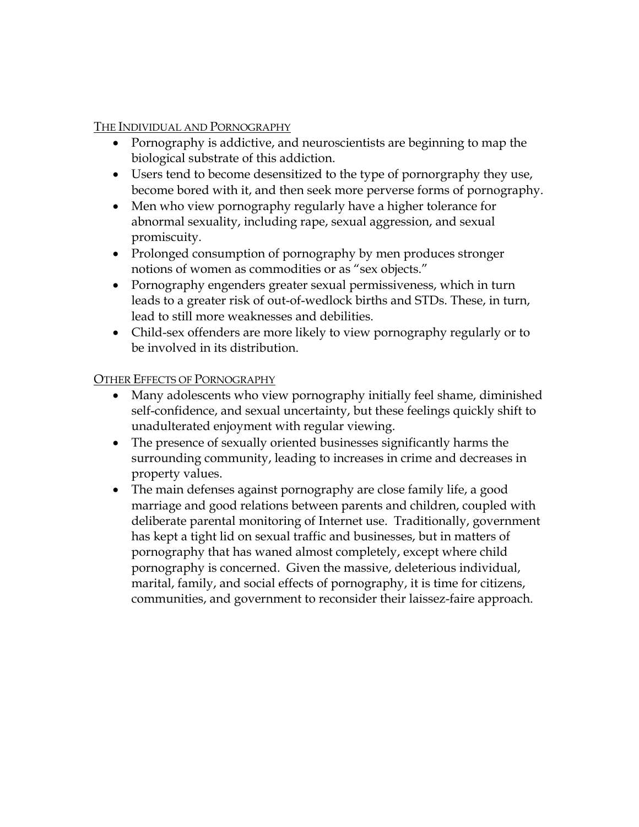THE INDIVIDUAL AND PORNOGRAPHY

- Pornography is addictive, and neuroscientists are beginning to map the biological substrate of this addiction.
- Users tend to become desensitized to the type of pornorgraphy they use, become bored with it, and then seek more perverse forms of pornography.
- Men who view pornography regularly have a higher tolerance for abnormal sexuality, including rape, sexual aggression, and sexual promiscuity.
- Prolonged consumption of pornography by men produces stronger notions of women as commodities or as "sex objects."
- Pornography engenders greater sexual permissiveness, which in turn leads to a greater risk of out-of-wedlock births and STDs. These, in turn, lead to still more weaknesses and debilities.
- Child-sex offenders are more likely to view pornography regularly or to be involved in its distribution.

#### OTHER EFFECTS OF PORNOGRAPHY

- Many adolescents who view pornography initially feel shame, diminished self-confidence, and sexual uncertainty, but these feelings quickly shift to unadulterated enjoyment with regular viewing.
- The presence of sexually oriented businesses significantly harms the surrounding community, leading to increases in crime and decreases in property values.
- The main defenses against pornography are close family life, a good marriage and good relations between parents and children, coupled with deliberate parental monitoring of Internet use. Traditionally, government has kept a tight lid on sexual traffic and businesses, but in matters of pornography that has waned almost completely, except where child pornography is concerned. Given the massive, deleterious individual, marital, family, and social effects of pornography, it is time for citizens, communities, and government to reconsider their laissez-faire approach.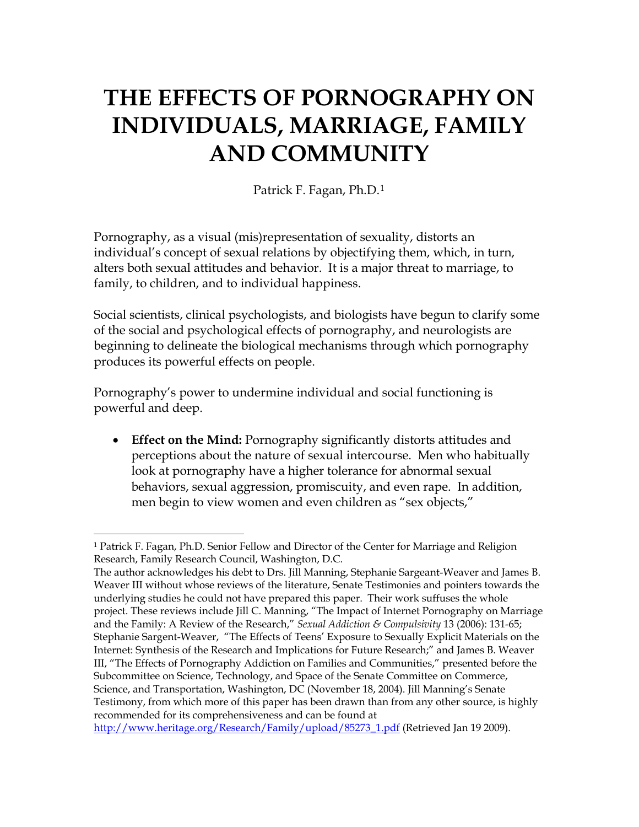# **THE EFFECTS OF PORNOGRAPHY ON INDIVIDUALS, MARRIAGE, FAMILY AND COMMUNITY**

Patrick F. Fagan, Ph.D.[1](#page-2-0)

Pornography, as a visual (mis)representation of sexuality, distorts an individual's concept of sexual relations by objectifying them, which, in turn, alters both sexual attitudes and behavior. It is a major threat to marriage, to family, to children, and to individual happiness.

Social scientists, clinical psychologists, and biologists have begun to clarify some of the social and psychological effects of pornography, and neurologists are beginning to delineate the biological mechanisms through which pornography produces its powerful effects on people.

Pornography's power to undermine individual and social functioning is powerful and deep.

• **Effect on the Mind:** Pornography significantly distorts attitudes and perceptions about the nature of sexual intercourse. Men who habitually look at pornography have a higher tolerance for abnormal sexual behaviors, sexual aggression, promiscuity, and even rape. In addition, men begin to view women and even children as "sex objects,"

<span id="page-2-0"></span> $\overline{a}$ 1 Patrick F. Fagan, Ph.D. Senior Fellow and Director of the Center for Marriage and Religion Research, Family Research Council, Washington, D.C.

The author acknowledges his debt to Drs. Jill Manning, Stephanie Sargeant-Weaver and James B. Weaver III without whose reviews of the literature, Senate Testimonies and pointers towards the underlying studies he could not have prepared this paper. Their work suffuses the whole project. These reviews include Jill C. Manning, "The Impact of Internet Pornography on Marriage and the Family: A Review of the Research," *Sexual Addiction & Compulsivity* 13 (2006): 131-65; Stephanie Sargent-Weaver, "The Effects of Teens' Exposure to Sexually Explicit Materials on the Internet: Synthesis of the Research and Implications for Future Research;" and James B. Weaver III, "The Effects of Pornography Addiction on Families and Communities," presented before the Subcommittee on Science, Technology, and Space of the Senate Committee on Commerce, Science, and Transportation, Washington, DC (November 18, 2004). Jill Manning's Senate Testimony, from which more of this paper has been drawn than from any other source, is highly recommended for its comprehensiveness and can be found at

[http://www.heritage.org/Research/Family/upload/85273\\_1.pdf](http://www.heritage.org/Research/Family/upload/85273_1.pdf) (Retrieved Jan 19 2009).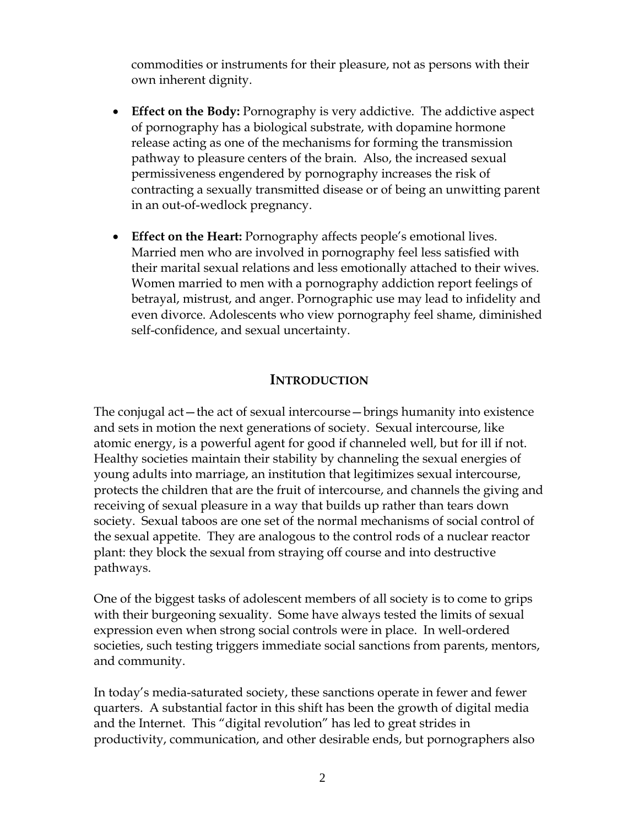commodities or instruments for their pleasure, not as persons with their own inherent dignity.

- **Effect on the Body:** Pornography is very addictive. The addictive aspect of pornography has a biological substrate, with dopamine hormone release acting as one of the mechanisms for forming the transmission pathway to pleasure centers of the brain. Also, the increased sexual permissiveness engendered by pornography increases the risk of contracting a sexually transmitted disease or of being an unwitting parent in an out-of-wedlock pregnancy.
- **Effect on the Heart:** Pornography affects people's emotional lives. Married men who are involved in pornography feel less satisfied with their marital sexual relations and less emotionally attached to their wives. Women married to men with a pornography addiction report feelings of betrayal, mistrust, and anger. Pornographic use may lead to infidelity and even divorce. Adolescents who view pornography feel shame, diminished self-confidence, and sexual uncertainty.

#### **INTRODUCTION**

The conjugal act—the act of sexual intercourse—brings humanity into existence and sets in motion the next generations of society. Sexual intercourse, like atomic energy, is a powerful agent for good if channeled well, but for ill if not. Healthy societies maintain their stability by channeling the sexual energies of young adults into marriage, an institution that legitimizes sexual intercourse, protects the children that are the fruit of intercourse, and channels the giving and receiving of sexual pleasure in a way that builds up rather than tears down society. Sexual taboos are one set of the normal mechanisms of social control of the sexual appetite. They are analogous to the control rods of a nuclear reactor plant: they block the sexual from straying off course and into destructive pathways.

One of the biggest tasks of adolescent members of all society is to come to grips with their burgeoning sexuality. Some have always tested the limits of sexual expression even when strong social controls were in place. In well-ordered societies, such testing triggers immediate social sanctions from parents, mentors, and community.

In today's media-saturated society, these sanctions operate in fewer and fewer quarters. A substantial factor in this shift has been the growth of digital media and the Internet. This "digital revolution" has led to great strides in productivity, communication, and other desirable ends, but pornographers also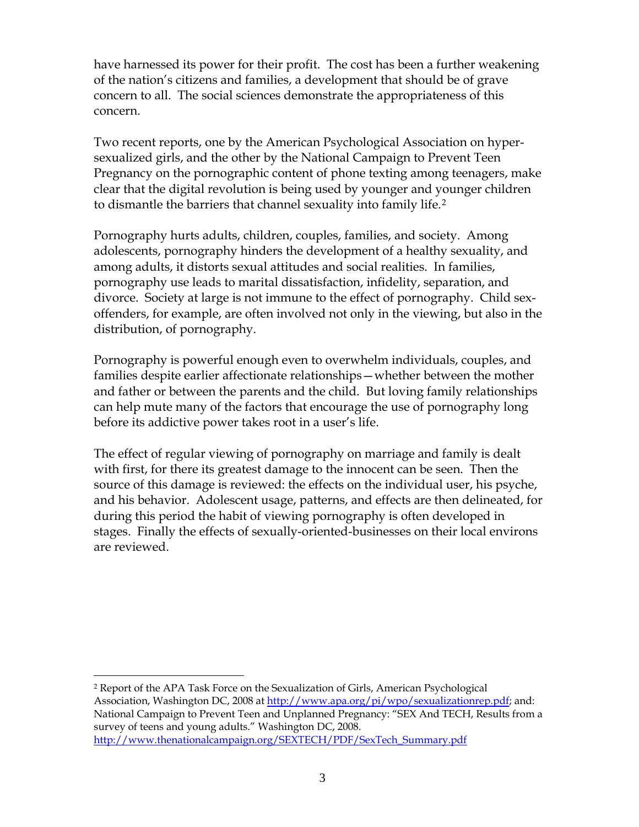have harnessed its power for their profit. The cost has been a further weakening of the nation's citizens and families, a development that should be of grave concern to all. The social sciences demonstrate the appropriateness of this concern.

Two recent reports, one by the American Psychological Association on hypersexualized girls, and the other by the National Campaign to Prevent Teen Pregnancy on the pornographic content of phone texting among teenagers, make clear that the digital revolution is being used by younger and younger children to dismantle the barriers that channel sexuality into family life.[2](#page-4-0)

Pornography hurts adults, children, couples, families, and society. Among adolescents, pornography hinders the development of a healthy sexuality, and among adults, it distorts sexual attitudes and social realities. In families, pornography use leads to marital dissatisfaction, infidelity, separation, and divorce. Society at large is not immune to the effect of pornography. Child sexoffenders, for example, are often involved not only in the viewing, but also in the distribution, of pornography.

Pornography is powerful enough even to overwhelm individuals, couples, and families despite earlier affectionate relationships—whether between the mother and father or between the parents and the child. But loving family relationships can help mute many of the factors that encourage the use of pornography long before its addictive power takes root in a user's life.

The effect of regular viewing of pornography on marriage and family is dealt with first, for there its greatest damage to the innocent can be seen. Then the source of this damage is reviewed: the effects on the individual user, his psyche, and his behavior. Adolescent usage, patterns, and effects are then delineated, for during this period the habit of viewing pornography is often developed in stages. Finally the effects of sexually-oriented-businesses on their local environs are reviewed.

<span id="page-4-0"></span> $\overline{a}$ 2 Report of the APA Task Force on the Sexualization of Girls, American Psychological Association, Washington DC, 2008 at<http://www.apa.org/pi/wpo/sexualizationrep.pdf>; and: National Campaign to Prevent Teen and Unplanned Pregnancy: "SEX And TECH, Results from a survey of teens and young adults." Washington DC, 2008. [http://www.thenationalcampaign.org/SEXTECH/PDF/SexTech\\_Summary.pdf](http://www.thenationalcampaign.org/SEXTECH/PDF/SexTech_Summary.pdf)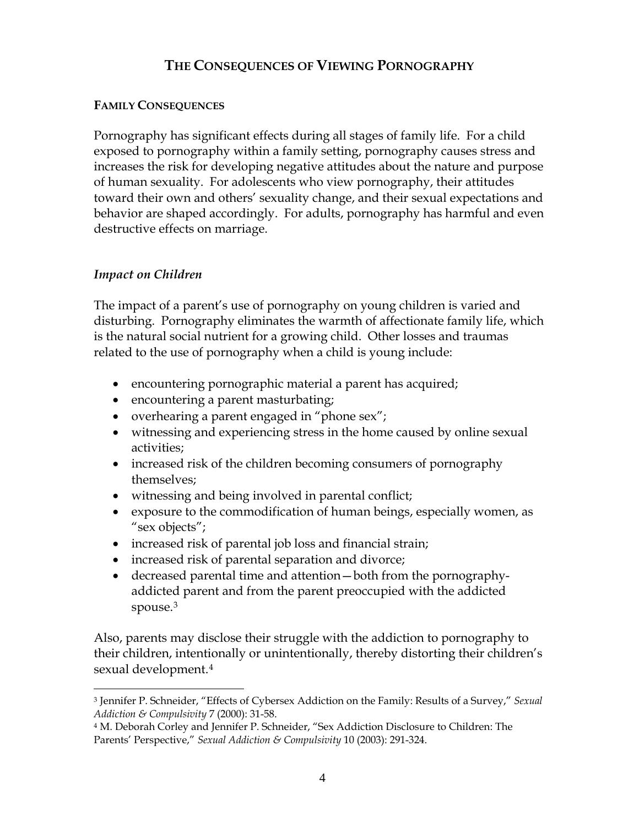# **THE CONSEQUENCES OF VIEWING PORNOGRAPHY**

#### **FAMILY CONSEQUENCES**

Pornography has significant effects during all stages of family life. For a child exposed to pornography within a family setting, pornography causes stress and increases the risk for developing negative attitudes about the nature and purpose of human sexuality. For adolescents who view pornography, their attitudes toward their own and others' sexuality change, and their sexual expectations and behavior are shaped accordingly. For adults, pornography has harmful and even destructive effects on marriage.

## *Impact on Children*

 $\overline{a}$ 

The impact of a parent's use of pornography on young children is varied and disturbing. Pornography eliminates the warmth of affectionate family life, which is the natural social nutrient for a growing child. Other losses and traumas related to the use of pornography when a child is young include:

- encountering pornographic material a parent has acquired;
- encountering a parent masturbating;
- overhearing a parent engaged in "phone sex";
- witnessing and experiencing stress in the home caused by online sexual activities;
- increased risk of the children becoming consumers of pornography themselves;
- witnessing and being involved in parental conflict;
- exposure to the commodification of human beings, especially women, as "sex objects";
- increased risk of parental job loss and financial strain;
- increased risk of parental separation and divorce;
- decreased parental time and attention—both from the pornographyaddicted parent and from the parent preoccupied with the addicted spouse.<sup>[3](#page-5-0)</sup>

Also, parents may disclose their struggle with the addiction to pornography to their children, intentionally or unintentionally, thereby distorting their children's sexual development.[4](#page-5-1)

<span id="page-5-0"></span><sup>3</sup> Jennifer P. Schneider, "Effects of Cybersex Addiction on the Family: Results of a Survey," *Sexual Addiction & Compulsivity* 7 (2000): 31-58.

<span id="page-5-1"></span><sup>4</sup> M. Deborah Corley and Jennifer P. Schneider, "Sex Addiction Disclosure to Children: The Parents' Perspective," *Sexual Addiction & Compulsivity* 10 (2003): 291-324.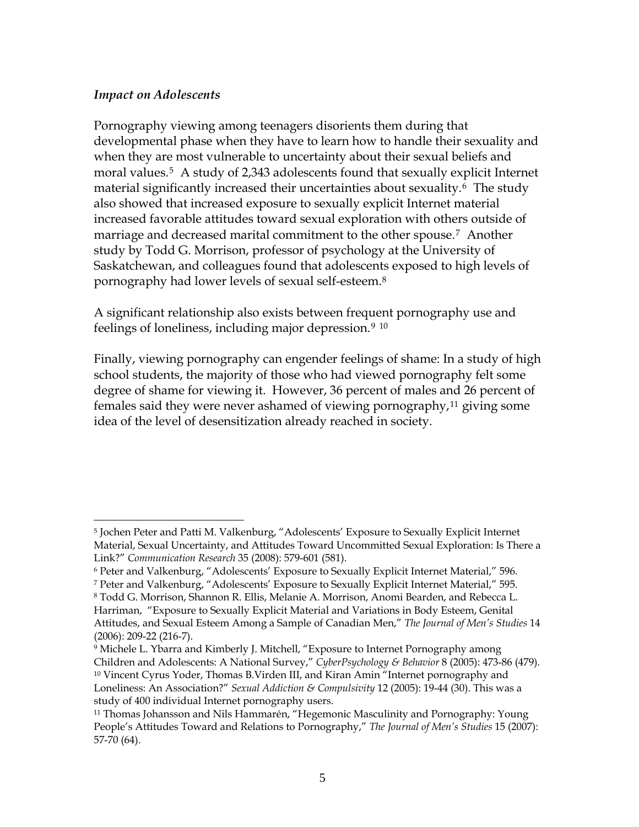#### *Impact on Adolescents*

Pornography viewing among teenagers disorients them during that developmental phase when they have to learn how to handle their sexuality and when they are most vulnerable to uncertainty about their sexual beliefs and moral values.[5](#page-6-0) A study of 2,343 adolescents found that sexually explicit Internet material significantly increased their uncertainties about sexuality.[6](#page-6-1) The study also showed that increased exposure to sexually explicit Internet material increased favorable attitudes toward sexual exploration with others outside of marriage and decreased marital commitment to the other spouse.[7](#page-6-2) Another study by Todd G. Morrison, professor of psychology at the University of Saskatchewan, and colleagues found that adolescents exposed to high levels of pornography had lower levels of sexual self-esteem.[8](#page-6-3)

A significant relationship also exists between frequent pornography use and feelings of loneliness, including major depression.<sup>[9](#page-6-4)</sup> <sup>[10](#page-6-5)</sup>

Finally, viewing pornography can engender feelings of shame: In a study of high school students, the majority of those who had viewed pornography felt some degree of shame for viewing it. However, 36 percent of males and 26 percent of females said they were never ashamed of viewing pornography,<sup>[11](#page-6-6)</sup> giving some idea of the level of desensitization already reached in society.

<span id="page-6-0"></span> $\overline{a}$ 5 Jochen Peter and Patti M. Valkenburg, "Adolescents' Exposure to Sexually Explicit Internet Material, Sexual Uncertainty, and Attitudes Toward Uncommitted Sexual Exploration: Is There a Link?" *Communication Research* 35 (2008): 579-601 (581).

<span id="page-6-1"></span><sup>6</sup> Peter and Valkenburg, "Adolescents' Exposure to Sexually Explicit Internet Material," 596.

<span id="page-6-2"></span><sup>7</sup> Peter and Valkenburg, "Adolescents' Exposure to Sexually Explicit Internet Material," 595.

<span id="page-6-3"></span><sup>8</sup> Todd G. Morrison, Shannon R. Ellis, Melanie A. Morrison, Anomi Bearden, and Rebecca L. Harriman, "Exposure to Sexually Explicit Material and Variations in Body Esteem, Genital Attitudes, and Sexual Esteem Among a Sample of Canadian Men," *The Journal of Men's Studies* 14 (2006): 209-22 (216-7).

<span id="page-6-5"></span><span id="page-6-4"></span><sup>9</sup> Michele L. Ybarra and Kimberly J. Mitchell, "Exposure to Internet Pornography among Children and Adolescents: A National Survey," *CyberPsychology & Behavior* 8 (2005): 473-86 (479). 10 Vincent Cyrus Yoder, Thomas B.Virden III, and Kiran Amin "Internet pornography and Loneliness: An Association?" *[Sexual Addiction & Compulsivity](http://www.informaworld.com/smpp/title%7Econtent=t713658059%7Edb=all)* 12 (2005): 19-44 (30). This was a study of 400 individual Internet pornography users.

<span id="page-6-6"></span><sup>11</sup> Thomas Johansson and Nils Hammarén, "Hegemonic Masculinity and Pornography: Young People's Attitudes Toward and Relations to Pornography," *The Journal of Men's Studies* 15 (2007): 57-70 (64).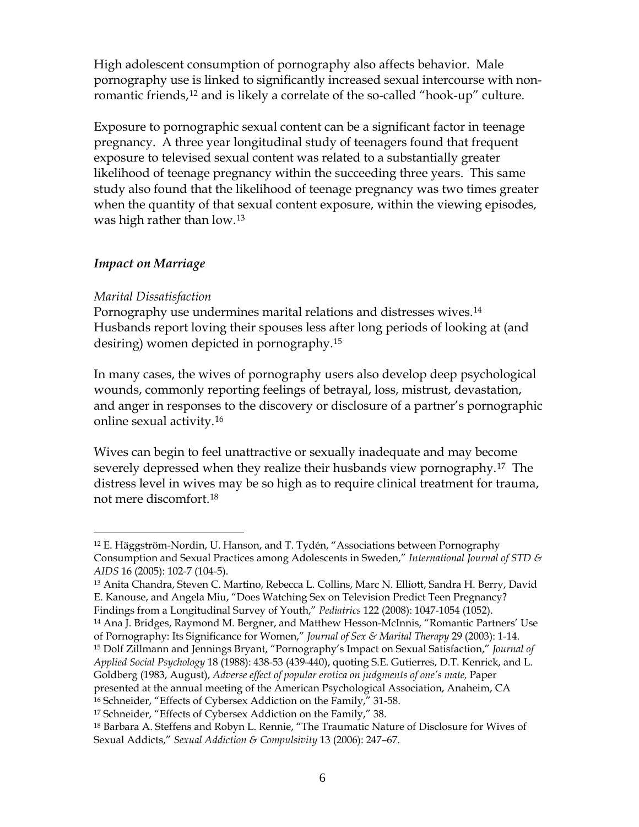High adolescent consumption of pornography also affects behavior. Male pornography use is linked to significantly increased sexual intercourse with non-romantic friends,<sup>[12](#page-7-0)</sup> and is likely a correlate of the so-called "hook-up" culture.

Exposure to pornographic sexual content can be a significant factor in teenage pregnancy. A three year longitudinal study of teenagers found that frequent exposure to televised sexual content was related to a substantially greater likelihood of teenage pregnancy within the succeeding three years. This same study also found that the likelihood of teenage pregnancy was two times greater when the quantity of that sexual content exposure, within the viewing episodes, was high rather than low.[13](#page-7-1)

#### *Impact on Marriage*

#### *Marital Dissatisfaction*

 $\overline{a}$ 

Pornography use undermines marital relations and distresses wives.<sup>[14](#page-7-2)</sup> Husbands report loving their spouses less after long periods of looking at (and desiring) women depicted in pornography.[15](#page-7-3)

In many cases, the wives of pornography users also develop deep psychological wounds, commonly reporting feelings of betrayal, loss, mistrust, devastation, and anger in responses to the discovery or disclosure of a partner's pornographic online sexual activity.[16](#page-7-4)

Wives can begin to feel unattractive or sexually inadequate and may become severely depressed when they realize their husbands view pornography.[17](#page-7-5) The distress level in wives may be so high as to require clinical treatment for trauma, not mere discomfort.[18](#page-7-6)

<span id="page-7-3"></span>15 Dolf Zillmann and Jennings Bryant, "Pornography's Impact on Sexual Satisfaction," *Journal of Applied Social Psychology* 18 (1988): 438-53 (439-440), quoting S.E. Gutierres, D.T. Kenrick, and L. Goldberg (1983, August), *Adverse effect of popular erotica on judgments of one's mate,* Paper

<span id="page-7-0"></span><sup>12</sup> E. Häggström-Nordin, U. Hanson, and T. Tydén, "Associations between Pornography Consumption and Sexual Practices among Adolescents in Sweden," *International Journal of STD & AIDS* 16 (2005): 102-7 (104-5).

<span id="page-7-1"></span><sup>13</sup> Anita Chandra, Steven C. Martino, Rebecca L. Collins, Marc N. Elliott, Sandra H. Berry, David E. Kanouse, and Angela Miu, "Does Watching Sex on Television Predict Teen Pregnancy? Findings from a Longitudinal Survey of Youth," *Pediatrics* 122 (2008): 1047-1054 (1052).

<span id="page-7-2"></span><sup>14</sup> Ana J. Bridges, Raymond M. Bergner, and Matthew Hesson-McInnis, "Romantic Partners' Use of Pornography: Its Significance for Women," *Journal of Sex & Marital Therapy* 29 (2003): 1-14.

presented at the annual meeting of the American Psychological Association, Anaheim, CA

<span id="page-7-4"></span><sup>16</sup> Schneider, "Effects of Cybersex Addiction on the Family," 31-58.

<span id="page-7-5"></span><sup>17</sup> Schneider, "Effects of Cybersex Addiction on the Family," 38.

<span id="page-7-6"></span><sup>18</sup> Barbara A. Steffens and Robyn L. Rennie, "The Traumatic Nature of Disclosure for Wives of Sexual Addicts," *[Sexual Addiction & Compulsivity](http://www.informaworld.com/smpp/title%7Econtent=t713658059%7Edb=all)* [13](http://www.informaworld.com/smpp/title~content=t713658059~db=all~tab=issueslist~branches=13#v13) (2006): 247–67.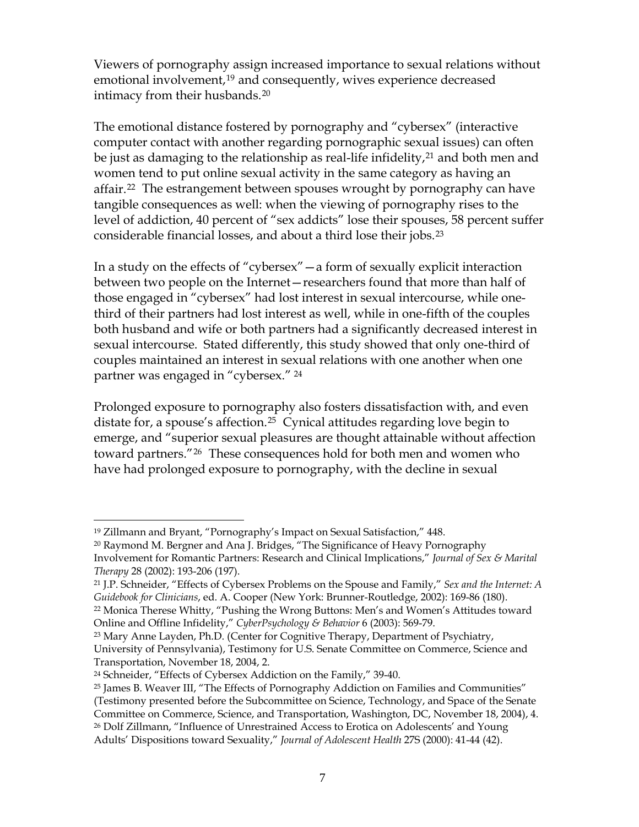Viewers of pornography assign increased importance to sexual relations without emotional involvement,<sup>[19](#page-8-0)</sup> and consequently, wives experience decreased intimacy from their husbands.[20](#page-8-1)

The emotional distance fostered by pornography and "cybersex" (interactive computer contact with another regarding pornographic sexual issues) can often be just as damaging to the relationship as real-life infidelity,<sup>[21](#page-8-2)</sup> and both men and women tend to put online sexual activity in the same category as having an affair.<sup>[22](#page-8-3)</sup> The estrangement between spouses wrought by pornography can have tangible consequences as well: when the viewing of pornography rises to the level of addiction, 40 percent of "sex addicts" lose their spouses, 58 percent suffer considerable financial losses, and about a third lose their jobs.[23](#page-8-4)

In a study on the effects of "cybersex"—a form of sexually explicit interaction between two people on the Internet—researchers found that more than half of those engaged in "cybersex" had lost interest in sexual intercourse, while onethird of their partners had lost interest as well, while in one-fifth of the couples both husband and wife or both partners had a significantly decreased interest in sexual intercourse. Stated differently, this study showed that only one-third of couples maintained an interest in sexual relations with one another when one partner was engaged in "cybersex." [24](#page-8-5)

Prolonged exposure to pornography also fosters dissatisfaction with, and even distate for, a spouse's affection.<sup>[25](#page-8-6)</sup> Cynical attitudes regarding love begin to emerge, and "superior sexual pleasures are thought attainable without affection toward partners."[26](#page-8-7) These consequences hold for both men and women who have had prolonged exposure to pornography, with the decline in sexual

<span id="page-8-0"></span> $\overline{a}$ 19 Zillmann and Bryant, "Pornography's Impact on Sexual Satisfaction," 448.

<span id="page-8-1"></span><sup>&</sup>lt;sup>20</sup> Raymond M. Bergner and Ana J. Bridges, "The Significance of Heavy Pornography Involvement for Romantic Partners: Research and Clinical Implications," *Journal of Sex & Marital Therapy* 28 (2002): 193-206 (197).

<span id="page-8-2"></span><sup>21</sup> J.P. Schneider, "Effects of Cybersex Problems on the Spouse and Family," *Sex and the Internet: A Guidebook for Clinicians*, ed. A. Cooper (New York: Brunner-Routledge, 2002): 169-86 (180).

<span id="page-8-3"></span><sup>22</sup> Monica Therese Whitty, "Pushing the Wrong Buttons: Men's and Women's Attitudes toward Online and Offline Infidelity," *CyberPsychology & Behavior* 6 (2003): 569-79.

<span id="page-8-4"></span> $23$  Mary Anne Layden, Ph.D. (Center for Cognitive Therapy, Department of Psychiatry, University of Pennsylvania), Testimony for U.S. Senate Committee on Commerce, Science and Transportation, November 18, 2004, 2.

<span id="page-8-5"></span><sup>24</sup> Schneider, "Effects of Cybersex Addiction on the Family," 39-40.

<span id="page-8-7"></span><span id="page-8-6"></span><sup>25</sup> James B. Weaver III, "The Effects of Pornography Addiction on Families and Communities" (Testimony presented before the Subcommittee on Science, Technology, and Space of the Senate Committee on Commerce, Science, and Transportation, Washington, DC, November 18, 2004), 4. 26 Dolf Zillmann, "Influence of Unrestrained Access to Erotica on Adolescents' and Young Adults' Dispositions toward Sexuality," *Journal of Adolescent Health* 27S (2000): 41-44 (42).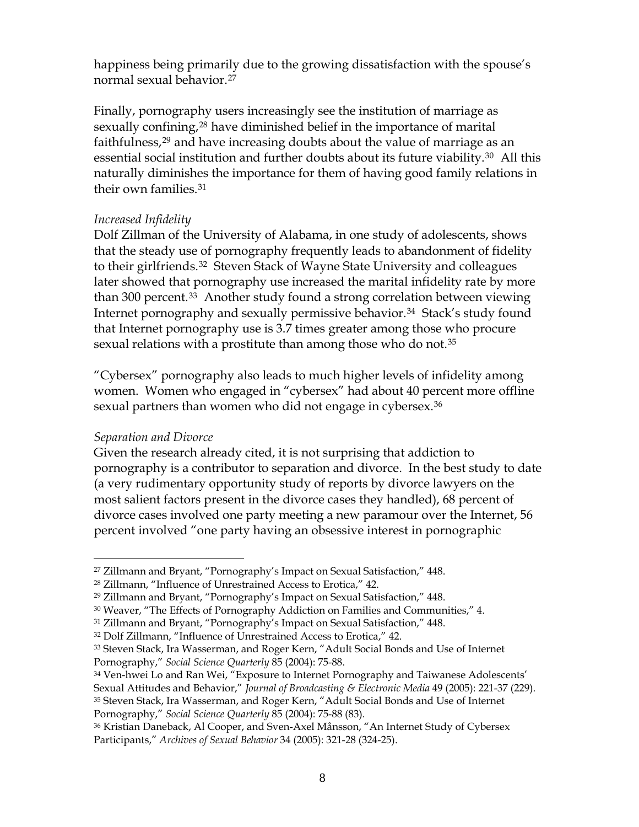happiness being primarily due to the growing dissatisfaction with the spouse's normal sexual behavior.[27](#page-9-0)

Finally, pornography users increasingly see the institution of marriage as sexually confining,<sup>[28](#page-9-1)</sup> have diminished belief in the importance of marital faithfulness,<sup>[29](#page-9-2)</sup> and have increasing doubts about the value of marriage as an essential social institution and further doubts about its future viability.<sup>[30](#page-9-3)</sup> All this naturally diminishes the importance for them of having good family relations in their own families.[31](#page-9-4)

#### *Increased Infidelity*

Dolf Zillman of the University of Alabama, in one study of adolescents, shows that the steady use of pornography frequently leads to abandonment of fidelity to their girlfriends.[32](#page-9-5) Steven Stack of Wayne State University and colleagues later showed that pornography use increased the marital infidelity rate by more than 300 percent.<sup>[33](#page-9-6)</sup> Another study found a strong correlation between viewing Internet pornography and sexually permissive behavior.<sup>[34](#page-9-7)</sup> Stack's study found that Internet pornography use is 3.7 times greater among those who procure sexual relations with a prostitute than among those who do not.<sup>[35](#page-9-8)</sup>

"Cybersex" pornography also leads to much higher levels of infidelity among women. Women who engaged in "cybersex" had about 40 percent more offline sexual partners than women who did not engage in cybersex.<sup>[36](#page-9-9)</sup>

#### *Separation and Divorce*

 $\overline{a}$ 

Given the research already cited, it is not surprising that addiction to pornography is a contributor to separation and divorce. In the best study to date (a very rudimentary opportunity study of reports by divorce lawyers on the most salient factors present in the divorce cases they handled), 68 percent of divorce cases involved one party meeting a new paramour over the Internet, 56 percent involved "one party having an obsessive interest in pornographic

<span id="page-9-0"></span><sup>&</sup>lt;sup>27</sup> Zillmann and Bryant, "Pornography's Impact on Sexual Satisfaction," 448.

<span id="page-9-1"></span><sup>28</sup> Zillmann, "Influence of Unrestrained Access to Erotica," 42.

<span id="page-9-2"></span><sup>29</sup> Zillmann and Bryant, "Pornography's Impact on Sexual Satisfaction," 448.

<span id="page-9-3"></span><sup>30</sup> Weaver, "The Effects of Pornography Addiction on Families and Communities," 4.

<span id="page-9-4"></span><sup>31</sup> Zillmann and Bryant, "Pornography's Impact on Sexual Satisfaction," 448.

<span id="page-9-5"></span><sup>32</sup> Dolf Zillmann, "Influence of Unrestrained Access to Erotica," 42.

<span id="page-9-6"></span><sup>33</sup> Steven Stack, Ira Wasserman, and Roger Kern, "Adult Social Bonds and Use of Internet Pornography," *Social Science Quarterly* 85 (2004): 75-88.

<span id="page-9-8"></span><span id="page-9-7"></span><sup>&</sup>lt;sup>34</sup> Ven-hwei Lo and Ran Wei, "Exposure to Internet Pornography and Taiwanese Adolescents' Sexual Attitudes and Behavior," *Journal of Broadcasting & Electronic Media* 49 (2005): 221-37 (229). 35 Steven Stack, Ira Wasserman, and Roger Kern, "Adult Social Bonds and Use of Internet Pornography," *Social Science Quarterly* 85 (2004): 75-88 (83).

<span id="page-9-9"></span><sup>36</sup> Kristian Daneback, Al Cooper, and Sven-Axel Månsson, "An Internet Study of Cybersex Participants," *Archives of Sexual Behavior* 34 (2005): 321-28 (324-25).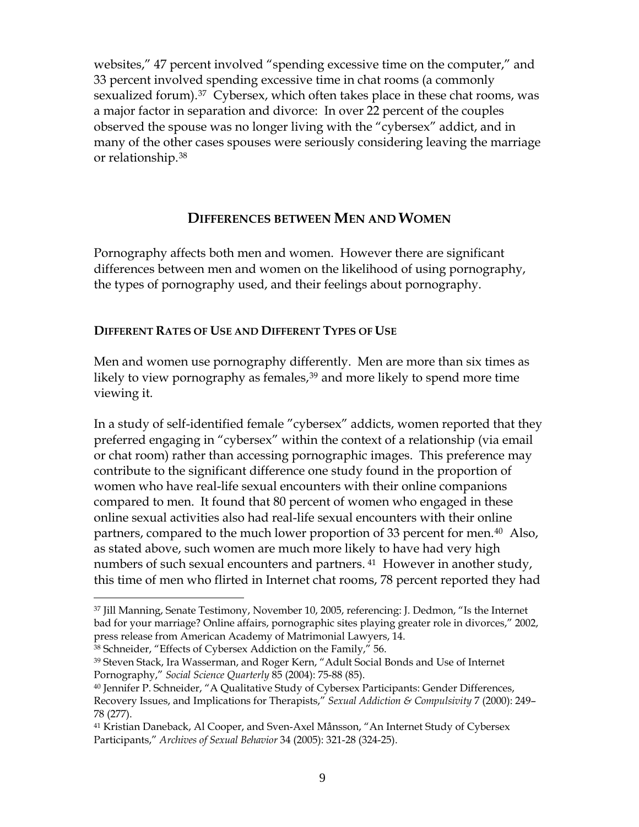websites," 47 percent involved "spending excessive time on the computer," and 33 percent involved spending excessive time in chat rooms (a commonly sexualized forum).<sup>[37](#page-10-0)</sup> Cybersex, which often takes place in these chat rooms, was a major factor in separation and divorce: In over 22 percent of the couples observed the spouse was no longer living with the "cybersex" addict, and in many of the other cases spouses were seriously considering leaving the marriage or relationship.[38](#page-10-1)

## **DIFFERENCES BETWEEN MEN AND WOMEN**

Pornography affects both men and women. However there are significant differences between men and women on the likelihood of using pornography, the types of pornography used, and their feelings about pornography.

#### **DIFFERENT RATES OF USE AND DIFFERENT TYPES OF USE**

Men and women use pornography differently. Men are more than six times as likely to view pornography as females,<sup>[39](#page-10-2)</sup> and more likely to spend more time viewing it.

In a study of self-identified female "cybersex" addicts, women reported that they preferred engaging in "cybersex" within the context of a relationship (via email or chat room) rather than accessing pornographic images. This preference may contribute to the significant difference one study found in the proportion of women who have real-life sexual encounters with their online companions compared to men. It found that 80 percent of women who engaged in these online sexual activities also had real-life sexual encounters with their online partners, compared to the much lower proportion of 33 percent for men.<sup>[40](#page-10-3)</sup> Also, as stated above, such women are much more likely to have had very high numbers of such sexual encounters and partners.<sup>[41](#page-10-4)</sup> However in another study, this time of men who flirted in Internet chat rooms, 78 percent reported they had

<span id="page-10-1"></span>38 Schneider, "Effects of Cybersex Addiction on the Family," 56.

<span id="page-10-0"></span><sup>37</sup> Jill Manning, Senate Testimony, November 10, 2005, referencing: J. Dedmon, "Is the Internet bad for your marriage? Online affairs, pornographic sites playing greater role in divorces," 2002, press release from American Academy of Matrimonial Lawyers, 14.

<span id="page-10-2"></span><sup>39</sup> Steven Stack, Ira Wasserman, and Roger Kern, "Adult Social Bonds and Use of Internet Pornography," *Social Science Quarterly* 85 (2004): 75-88 (85).

<span id="page-10-3"></span><sup>40</sup> Jennifer P. Schneider, "A Qualitative Study of Cybersex Participants: Gender Differences, Recovery Issues, and Implications for Therapists," *[Sexual Addiction & Compulsivity](http://www.informaworld.com/smpp/title%7Econtent=t713658059%7Edb=all)* [7](http://www.informaworld.com/smpp/title~content=t713658059~db=all~tab=issueslist~branches=7#v7) (2000): 249– 78 (277).

<span id="page-10-4"></span><sup>41</sup> Kristian Daneback, Al Cooper, and Sven-Axel Månsson, "An Internet Study of Cybersex Participants," *Archives of Sexual Behavior* 34 (2005): 321-28 (324-25).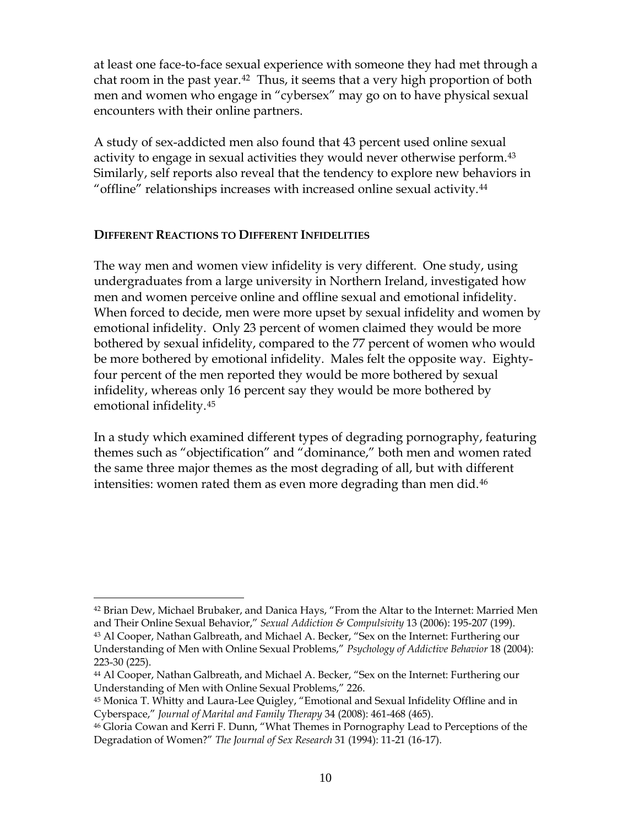at least one face-to-face sexual experience with someone they had met through a chat room in the past year.<sup>[42](#page-11-0)</sup> Thus, it seems that a very high proportion of both men and women who engage in "cybersex" may go on to have physical sexual encounters with their online partners.

A study of sex-addicted men also found that 43 percent used online sexual activity to engage in sexual activities they would never otherwise perform.<sup>[43](#page-11-1)</sup> Similarly, self reports also reveal that the tendency to explore new behaviors in "offline" relationships increases with increased online sexual activity.[44](#page-11-2)

#### **DIFFERENT REACTIONS TO DIFFERENT INFIDELITIES**

 $\overline{a}$ 

The way men and women view infidelity is very different. One study, using undergraduates from a large university in Northern Ireland, investigated how men and women perceive online and offline sexual and emotional infidelity. When forced to decide, men were more upset by sexual infidelity and women by emotional infidelity. Only 23 percent of women claimed they would be more bothered by sexual infidelity, compared to the 77 percent of women who would be more bothered by emotional infidelity. Males felt the opposite way. Eightyfour percent of the men reported they would be more bothered by sexual infidelity, whereas only 16 percent say they would be more bothered by emotional infidelity.[45](#page-11-3)

In a study which examined different types of degrading pornography, featuring themes such as "objectification" and "dominance," both men and women rated the same three major themes as the most degrading of all, but with different intensities: women rated them as even more degrading than men did.<sup>[46](#page-11-4)</sup>

<span id="page-11-0"></span><sup>42</sup> Brian Dew, Michael Brubaker, and Danica Hays, "From the Altar to the Internet: Married Men and Their Online Sexual Behavior," *Sexual Addiction & Compulsivity* 13 (2006): 195-207 (199).

<span id="page-11-1"></span><sup>43</sup> Al Cooper, Nathan Galbreath, and Michael A. Becker, "Sex on the Internet: Furthering our Understanding of Men with Online Sexual Problems," *Psychology of Addictive Behavior* 18 (2004): 223-30 (225).

<span id="page-11-2"></span><sup>44</sup> Al Cooper, Nathan Galbreath, and Michael A. Becker, "Sex on the Internet: Furthering our Understanding of Men with Online Sexual Problems," 226.

<span id="page-11-3"></span><sup>45</sup> Monica T. Whitty and Laura-Lee Quigley, "Emotional and Sexual Infidelity Offline and in Cyberspace," *Journal of Marital and Family Therapy* 34 (2008): 461-468 (465).

<span id="page-11-4"></span><sup>46</sup> Gloria Cowan and Kerri F. Dunn, "What Themes in Pornography Lead to Perceptions of the Degradation of Women?" *The Journal of Sex Research* 31 (1994): 11-21 (16-17).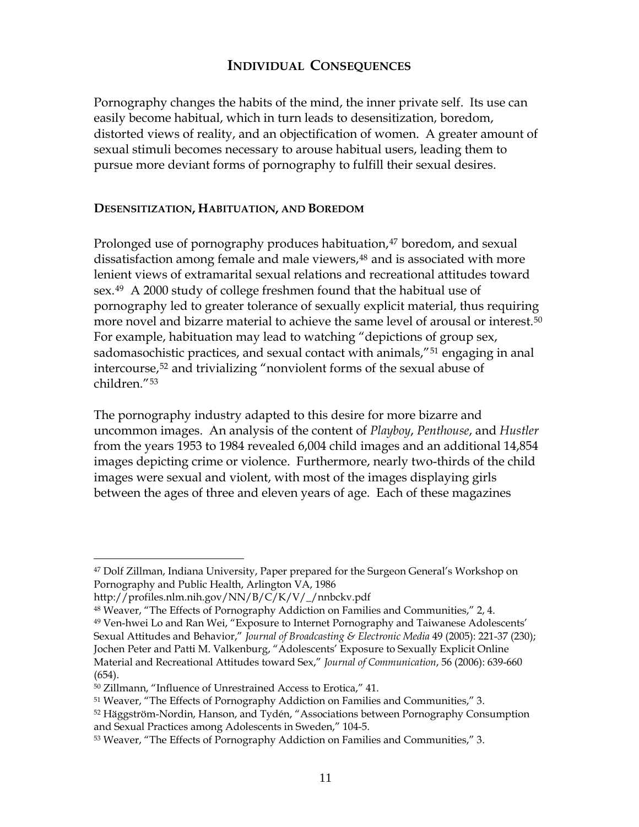#### **INDIVIDUAL CONSEQUENCES**

Pornography changes the habits of the mind, the inner private self. Its use can easily become habitual, which in turn leads to desensitization, boredom, distorted views of reality, and an objectification of women. A greater amount of sexual stimuli becomes necessary to arouse habitual users, leading them to pursue more deviant forms of pornography to fulfill their sexual desires.

#### **DESENSITIZATION, HABITUATION, AND BOREDOM**

Prolonged use of pornography produces habituation,<sup>[47](#page-12-0)</sup> boredom, and sexual dissatisfaction among female and male viewers,<sup>[48](#page-12-1)</sup> and is associated with more lenient views of extramarital sexual relations and recreational attitudes toward sex.[49](#page-12-2) A 2000 study of college freshmen found that the habitual use of pornography led to greater tolerance of sexually explicit material, thus requiring more novel and bizarre material to achieve the same level of arousal or interest.[50](#page-12-3) For example, habituation may lead to watching "depictions of group sex, sadomasochistic practices, and sexual contact with animals,<sup>"[51](#page-12-4)</sup> engaging in anal intercourse,[52](#page-12-5) and trivializing "nonviolent forms of the sexual abuse of children."[53](#page-12-6)

The pornography industry adapted to this desire for more bizarre and uncommon images. An analysis of the content of *Playboy*, *Penthouse*, and *Hustler* from the years 1953 to 1984 revealed 6,004 child images and an additional 14,854 images depicting crime or violence. Furthermore, nearly two-thirds of the child images were sexual and violent, with most of the images displaying girls between the ages of three and eleven years of age. Each of these magazines

<span id="page-12-0"></span><sup>47</sup> Dolf Zillman, Indiana University, Paper prepared for the Surgeon General's Workshop on Pornography and Public Health, Arlington VA, 1986

http://profiles.nlm.nih.gov/NN/B/C/K/V/\_/nnbckv.pdf

<span id="page-12-1"></span><sup>48</sup> Weaver, "The Effects of Pornography Addiction on Families and Communities," 2, 4.

<span id="page-12-2"></span><sup>49</sup> Ven-hwei Lo and Ran Wei, "Exposure to Internet Pornography and Taiwanese Adolescents' Sexual Attitudes and Behavior," *Journal of Broadcasting & Electronic Media* 49 (2005): 221-37 (230); Jochen Peter and Patti M. Valkenburg, "Adolescents' Exposure to Sexually Explicit Online Material and Recreational Attitudes toward Sex," *Journal of Communication*, 56 (2006): 639-660 (654).

<span id="page-12-3"></span><sup>50</sup> Zillmann, "Influence of Unrestrained Access to Erotica," 41.

<span id="page-12-4"></span><sup>51</sup> Weaver, "The Effects of Pornography Addiction on Families and Communities," 3.

<span id="page-12-5"></span><sup>52</sup> Häggström-Nordin, Hanson, and Tydén, "Associations between Pornography Consumption and Sexual Practices among Adolescents in Sweden," 104-5.

<span id="page-12-6"></span><sup>53</sup> Weaver, "The Effects of Pornography Addiction on Families and Communities," 3.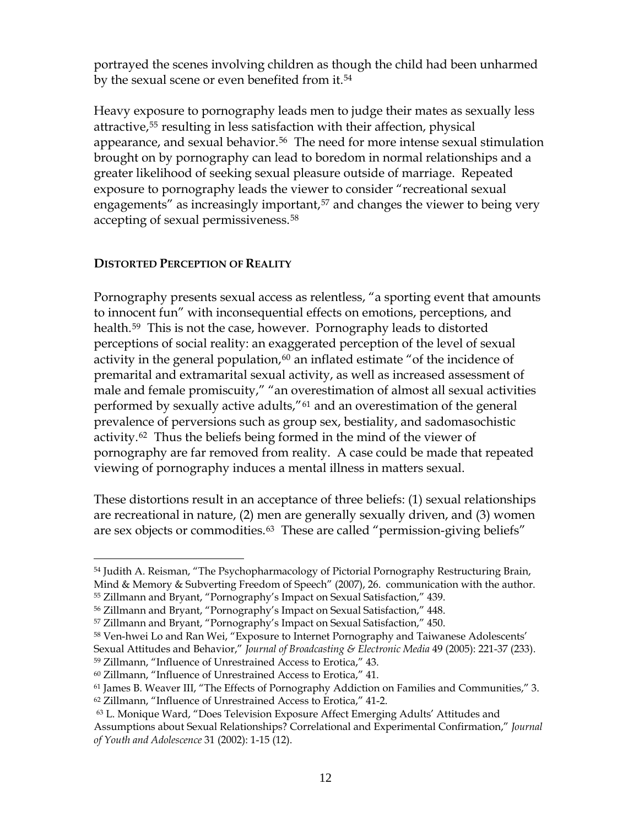portrayed the scenes involving children as though the child had been unharmed by the sexual scene or even benefited from it.<sup>[54](#page-13-0)</sup>

Heavy exposure to pornography leads men to judge their mates as sexually less attractive,[55](#page-13-1) resulting in less satisfaction with their affection, physical appearance, and sexual behavior.<sup>[56](#page-13-2)</sup> The need for more intense sexual stimulation brought on by pornography can lead to boredom in normal relationships and a greater likelihood of seeking sexual pleasure outside of marriage. Repeated exposure to pornography leads the viewer to consider "recreational sexual engagements" as increasingly important,<sup>[57](#page-13-3)</sup> and changes the viewer to being very accepting of sexual permissiveness.[58](#page-13-4)

#### **DISTORTED PERCEPTION OF REALITY**

 $\overline{a}$ 

Pornography presents sexual access as relentless, "a sporting event that amounts to innocent fun" with inconsequential effects on emotions, perceptions, and health.[59](#page-13-5) This is not the case, however. Pornography leads to distorted perceptions of social reality: an exaggerated perception of the level of sexual activity in the general population, $60$  an inflated estimate "of the incidence of premarital and extramarital sexual activity, as well as increased assessment of male and female promiscuity," "an overestimation of almost all sexual activities performed by sexually active adults,"[61](#page-13-7) and an overestimation of the general prevalence of perversions such as group sex, bestiality, and sadomasochistic activity.[62](#page-13-8) Thus the beliefs being formed in the mind of the viewer of pornography are far removed from reality. A case could be made that repeated viewing of pornography induces a mental illness in matters sexual.

These distortions result in an acceptance of three beliefs: (1) sexual relationships are recreational in nature, (2) men are generally sexually driven, and (3) women are sex objects or commodities.<sup>[63](#page-13-9)</sup> These are called "permission-giving beliefs"

<span id="page-13-0"></span><sup>&</sup>lt;sup>54</sup> Judith A. Reisman, "The Psychopharmacology of Pictorial Pornography Restructuring Brain, Mind & Memory & Subverting Freedom of Speech" (2007), 26. communication with the author. 55 Zillmann and Bryant, "Pornography's Impact on Sexual Satisfaction," 439.

<span id="page-13-1"></span>

<span id="page-13-2"></span><sup>56</sup> Zillmann and Bryant, "Pornography's Impact on Sexual Satisfaction," 448.

<span id="page-13-3"></span><sup>57</sup> Zillmann and Bryant, "Pornography's Impact on Sexual Satisfaction," 450.

<span id="page-13-4"></span><sup>&</sup>lt;sup>58</sup> Ven-hwei Lo and Ran Wei, "Exposure to Internet Pornography and Taiwanese Adolescents'

Sexual Attitudes and Behavior," *Journal of Broadcasting & Electronic Media* 49 (2005): 221-37 (233).

<span id="page-13-6"></span><span id="page-13-5"></span><sup>59</sup> Zillmann, "Influence of Unrestrained Access to Erotica," 43.

<sup>60</sup> Zillmann, "Influence of Unrestrained Access to Erotica," 41.

<span id="page-13-7"></span><sup>61</sup> James B. Weaver III, "The Effects of Pornography Addiction on Families and Communities," 3.

<span id="page-13-8"></span><sup>62</sup> Zillmann, "Influence of Unrestrained Access to Erotica," 41-2.

<span id="page-13-9"></span><sup>63</sup> L. Monique Ward, "Does Television Exposure Affect Emerging Adults' Attitudes and Assumptions about Sexual Relationships? Correlational and Experimental Confirmation," *Journal of Youth and Adolescence* 31 (2002): 1-15 (12).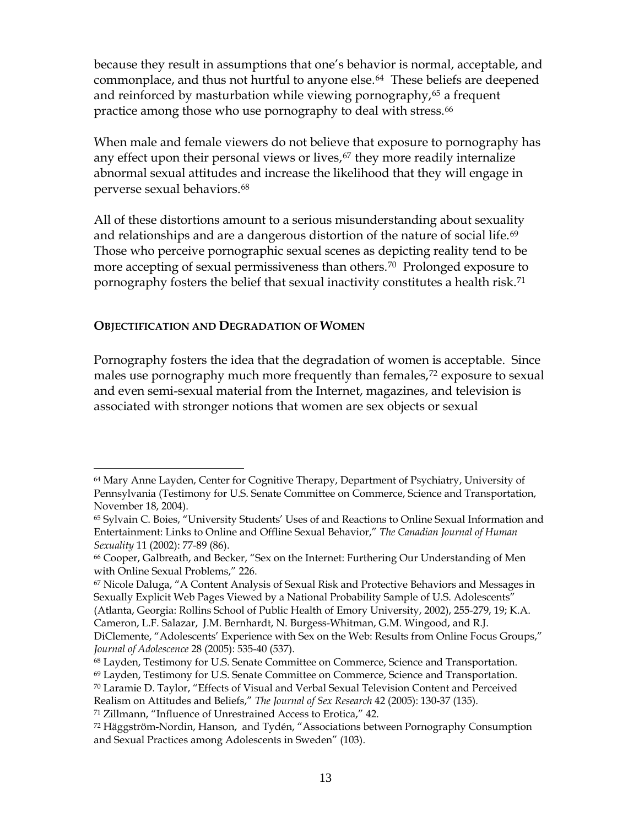because they result in assumptions that one's behavior is normal, acceptable, and commonplace, and thus not hurtful to anyone else.<sup>[64](#page-14-0)</sup> These beliefs are deepened and reinforced by masturbation while viewing pornography,<sup>[65](#page-14-1)</sup> a frequent practice among those who use pornography to deal with stress.<sup>66</sup>

When male and female viewers do not believe that exposure to pornography has any effect upon their personal views or lives,<sup>[67](#page-14-3)</sup> they more readily internalize abnormal sexual attitudes and increase the likelihood that they will engage in perverse sexual behaviors.[68](#page-14-4)

All of these distortions amount to a serious misunderstanding about sexuality and relationships and are a dangerous distortion of the nature of social life.<sup>[69](#page-14-5)</sup> Those who perceive pornographic sexual scenes as depicting reality tend to be more accepting of sexual permissiveness than others.<sup>[70](#page-14-6)</sup> Prolonged exposure to pornography fosters the belief that sexual inactivity constitutes a health risk.[71](#page-14-7)

#### **OBJECTIFICATION AND DEGRADATION OF WOMEN**

 $\overline{a}$ 

Pornography fosters the idea that the degradation of women is acceptable. Since males use pornography much more frequently than females,<sup>[72](#page-14-8)</sup> exposure to sexual and even semi-sexual material from the Internet, magazines, and television is associated with stronger notions that women are sex objects or sexual

<span id="page-14-0"></span><sup>64</sup> Mary Anne Layden, Center for Cognitive Therapy, Department of Psychiatry, University of Pennsylvania (Testimony for U.S. Senate Committee on Commerce, Science and Transportation, November 18, 2004).

<span id="page-14-1"></span><sup>65</sup> Sylvain C. Boies, "University Students' Uses of and Reactions to Online Sexual Information and Entertainment: Links to Online and Offline Sexual Behavior," *The Canadian Journal of Human Sexuality* 11 (2002): 77-89 (86).

<span id="page-14-2"></span><sup>66</sup> Cooper, Galbreath, and Becker, "Sex on the Internet: Furthering Our Understanding of Men with Online Sexual Problems," 226.

<span id="page-14-3"></span><sup>67</sup> Nicole Daluga, "A Content Analysis of Sexual Risk and Protective Behaviors and Messages in Sexually Explicit Web Pages Viewed by a National Probability Sample of U.S. Adolescents"

<sup>(</sup>Atlanta, Georgia: Rollins School of Public Health of Emory University, 2002), 255-279, 19; K.A. Cameron, L.F. Salazar, J.M. Bernhardt, N. Burgess-Whitman, G.M. Wingood, and R.J.

DiClemente, "Adolescents' Experience with Sex on the Web: Results from Online Focus Groups," *Journal of Adolescence* 28 (2005): 535-40 (537).

<sup>68</sup> Layden, Testimony for U.S. Senate Committee on Commerce, Science and Transportation.

<span id="page-14-6"></span><span id="page-14-5"></span><span id="page-14-4"></span><sup>69</sup> Layden, Testimony for U.S. Senate Committee on Commerce, Science and Transportation.

 $70$  Laramie D. Taylor, "Effects of Visual and Verbal Sexual Television Content and Perceived Realism on Attitudes and Beliefs," *The Journal of Sex Research* 42 (2005): 130-37 (135).

<span id="page-14-7"></span><sup>71</sup> Zillmann, "Influence of Unrestrained Access to Erotica," 42.

<span id="page-14-8"></span> $72$  Häggström-Nordin, Hanson, and Tydén, "Associations between Pornography Consumption and Sexual Practices among Adolescents in Sweden" (103).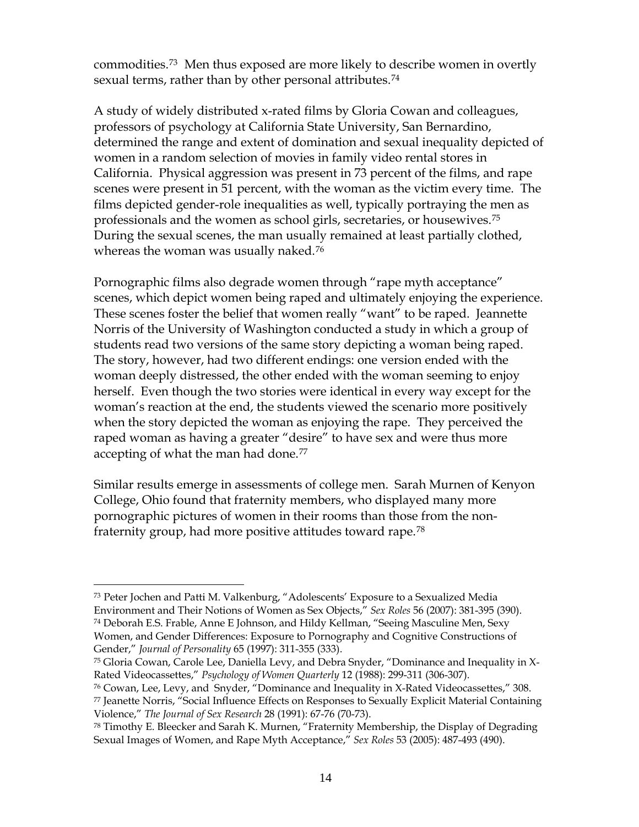commodities.[73](#page-15-0) Men thus exposed are more likely to describe women in overtly sexual terms, rather than by other personal attributes.<sup>[74](#page-15-1)</sup>

A study of widely distributed x-rated films by Gloria Cowan and colleagues, professors of psychology at California State University, San Bernardino, determined the range and extent of domination and sexual inequality depicted of women in a random selection of movies in family video rental stores in California. Physical aggression was present in 73 percent of the films, and rape scenes were present in 51 percent, with the woman as the victim every time. The films depicted gender-role inequalities as well, typically portraying the men as professionals and the women as school girls, secretaries, or housewives.[75](#page-15-2) During the sexual scenes, the man usually remained at least partially clothed, whereas the woman was usually naked.<sup>[76](#page-15-3)</sup>

Pornographic films also degrade women through "rape myth acceptance" scenes, which depict women being raped and ultimately enjoying the experience. These scenes foster the belief that women really "want" to be raped. Jeannette Norris of the University of Washington conducted a study in which a group of students read two versions of the same story depicting a woman being raped. The story, however, had two different endings: one version ended with the woman deeply distressed, the other ended with the woman seeming to enjoy herself. Even though the two stories were identical in every way except for the woman's reaction at the end, the students viewed the scenario more positively when the story depicted the woman as enjoying the rape. They perceived the raped woman as having a greater "desire" to have sex and were thus more accepting of what the man had done.<sup>[77](#page-15-4)</sup>

Similar results emerge in assessments of college men. Sarah Murnen of Kenyon College, Ohio found that fraternity members, who displayed many more pornographic pictures of women in their rooms than those from the nonfraternity group, had more positive attitudes toward rape.[78](#page-15-5)

<span id="page-15-1"></span><span id="page-15-0"></span><sup>73</sup> Peter Jochen and Patti M. Valkenburg, "Adolescents' Exposure to a Sexualized Media Environment and Their Notions of Women as Sex Objects," *Sex Roles* 56 (2007): 381-395 (390). 74 Deborah E.S. Frable, Anne E Johnson, and Hildy Kellman, "Seeing Masculine Men, Sexy Women, and Gender Differences: Exposure to Pornography and Cognitive Constructions of Gender," *Journal of Personality* 65 (1997): 311-355 (333).

<span id="page-15-2"></span> $75$  Gloria Cowan, Carole Lee, Daniella Levy, and Debra Snyder, "Dominance and Inequality in X-Rated Videocassettes," *Psychology of Women Quarterly* 12 (1988): 299-311 (306-307).

<span id="page-15-4"></span><span id="page-15-3"></span><sup>76</sup> Cowan, Lee, Levy, and Snyder, "Dominance and Inequality in X-Rated Videocassettes," 308. 77 Jeanette Norris, "Social Influence Effects on Responses to Sexually Explicit Material Containing Violence," *The Journal of Sex Research* 28 (1991): 67-76 (70-73).

<span id="page-15-5"></span><sup>78</sup> Timothy E. Bleecker and Sarah K. Murnen, "Fraternity Membership, the Display of Degrading Sexual Images of Women, and Rape Myth Acceptance," *Sex Roles* 53 (2005): 487-493 (490).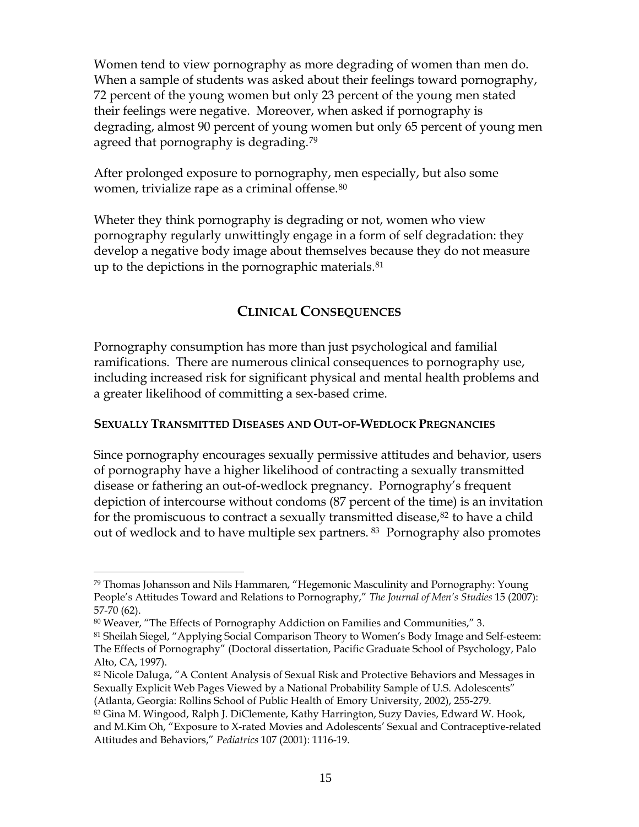Women tend to view pornography as more degrading of women than men do. When a sample of students was asked about their feelings toward pornography, 72 percent of the young women but only 23 percent of the young men stated their feelings were negative. Moreover, when asked if pornography is degrading, almost 90 percent of young women but only 65 percent of young men agreed that pornography is degrading.<sup>79</sup>

After prolonged exposure to pornography, men especially, but also some women, trivialize rape as a criminal offense.<sup>[80](#page-16-1)</sup>

Wheter they think pornography is degrading or not, women who view pornography regularly unwittingly engage in a form of self degradation: they develop a negative body image about themselves because they do not measure up to the depictions in the pornographic materials.<sup>[81](#page-16-2)</sup>

# **CLINICAL CONSEQUENCES**

Pornography consumption has more than just psychological and familial ramifications. There are numerous clinical consequences to pornography use, including increased risk for significant physical and mental health problems and a greater likelihood of committing a sex-based crime.

#### **SEXUALLY TRANSMITTED DISEASES AND OUT-OF-WEDLOCK PREGNANCIES**

Since pornography encourages sexually permissive attitudes and behavior, users of pornography have a higher likelihood of contracting a sexually transmitted disease or fathering an out-of-wedlock pregnancy. Pornography's frequent depiction of intercourse without condoms (87 percent of the time) is an invitation for the promiscuous to contract a sexually transmitted disease, $82$  to have a child out of wedlock and to have multiple sex partners. <sup>[83](#page-16-4)</sup> Pornography also promotes

<span id="page-16-0"></span><sup>79</sup> Thomas Johansson and Nils Hammaren, "Hegemonic Masculinity and Pornography: Young People's Attitudes Toward and Relations to Pornography," *The Journal of Men's Studies* 15 (2007): 57-70 (62).

<span id="page-16-1"></span><sup>80</sup> Weaver, "The Effects of Pornography Addiction on Families and Communities," 3.

<span id="page-16-2"></span><sup>&</sup>lt;sup>81</sup> Sheilah Siegel, "Applying Social Comparison Theory to Women's Body Image and Self-esteem: The Effects of Pornography" (Doctoral dissertation, Pacific Graduate School of Psychology, Palo Alto, CA, 1997).

<span id="page-16-3"></span><sup>82</sup> Nicole Daluga, "A Content Analysis of Sexual Risk and Protective Behaviors and Messages in Sexually Explicit Web Pages Viewed by a National Probability Sample of U.S. Adolescents" (Atlanta, Georgia: Rollins School of Public Health of Emory University, 2002), 255-279.

<span id="page-16-4"></span><sup>83</sup> Gina M. Wingood, Ralph J. DiClemente, Kathy Harrington, Suzy Davies, Edward W. Hook, and M.Kim Oh, "Exposure to X-rated Movies and Adolescents' Sexual and Contraceptive-related Attitudes and Behaviors," *Pediatrics* 107 (2001): 1116-19.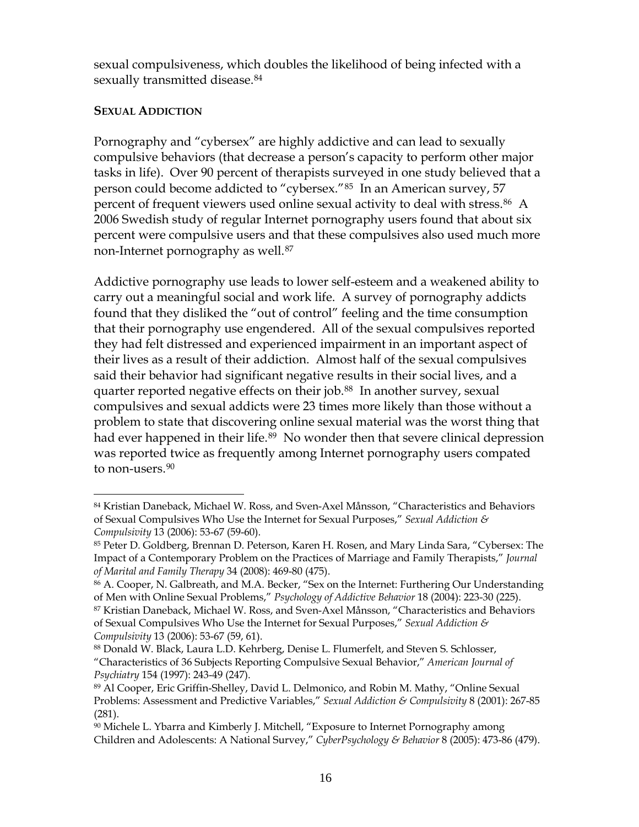sexual compulsiveness, which doubles the likelihood of being infected with a sexually transmitted disease.<sup>[84](#page-17-0)</sup>

#### **SEXUAL ADDICTION**

 $\overline{a}$ 

Pornography and "cybersex" are highly addictive and can lead to sexually compulsive behaviors (that decrease a person's capacity to perform other major tasks in life). Over 90 percent of therapists surveyed in one study believed that a person could become addicted to "cybersex."[85](#page-17-1) In an American survey, 57 percent of frequent viewers used online sexual activity to deal with stress.<sup>[86](#page-17-2)</sup> A 2006 Swedish study of regular Internet pornography users found that about six percent were compulsive users and that these compulsives also used much more non-Internet pornography as well.<sup>[87](#page-17-3)</sup>

Addictive pornography use leads to lower self-esteem and a weakened ability to carry out a meaningful social and work life. A survey of pornography addicts found that they disliked the "out of control" feeling and the time consumption that their pornography use engendered. All of the sexual compulsives reported they had felt distressed and experienced impairment in an important aspect of their lives as a result of their addiction. Almost half of the sexual compulsives said their behavior had significant negative results in their social lives, and a quarter reported negative effects on their job.<sup>[88](#page-17-4)</sup> In another survey, sexual compulsives and sexual addicts were 23 times more likely than those without a problem to state that discovering online sexual material was the worst thing that had ever happened in their life.<sup>[89](#page-17-5)</sup> No wonder then that severe clinical depression was reported twice as frequently among Internet pornography users compated to non-users.<sup>[90](#page-17-6)</sup>

<span id="page-17-0"></span><sup>84</sup> Kristian Daneback, Michael W. Ross, and Sven-Axel Månsson, "Characteristics and Behaviors of Sexual Compulsives Who Use the Internet for Sexual Purposes," *Sexual Addiction & Compulsivity* 13 (2006): 53-67 (59-60).

<span id="page-17-1"></span><sup>85</sup> Peter D. Goldberg, Brennan D. Peterson, Karen H. Rosen, and Mary Linda Sara, "Cybersex: The Impact of a Contemporary Problem on the Practices of Marriage and Family Therapists," *Journal of Marital and Family Therapy* 34 (2008): 469-80 (475).

<span id="page-17-2"></span><sup>86</sup> A. Cooper, N. Galbreath, and M.A. Becker, "Sex on the Internet: Furthering Our Understanding of Men with Online Sexual Problems," *Psychology of Addictive Behavior* 18 (2004): 223-30 (225).

<span id="page-17-3"></span><sup>87</sup> Kristian Daneback, Michael W. Ross, and Sven-Axel Månsson, "Characteristics and Behaviors of Sexual Compulsives Who Use the Internet for Sexual Purposes," *[Sexual Addiction &](http://www.informaworld.com/smpp/title%7Econtent=t713658059%7Edb=all)  [Compulsivity](http://www.informaworld.com/smpp/title%7Econtent=t713658059%7Edb=all)* [13](http://www.informaworld.com/smpp/title~content=t713658059~db=all~tab=issueslist~branches=13#v13) (2006): 53-67 (59, 61).

<span id="page-17-4"></span><sup>88</sup> Donald W. Black, Laura L.D. Kehrberg, Denise L. Flumerfelt, and Steven S. Schlosser, "Characteristics of 36 Subjects Reporting Compulsive Sexual Behavior," *American Journal of Psychiatry* 154 (1997): 243-49 (247).

<span id="page-17-5"></span><sup>89</sup> Al Cooper, Eric Griffin-Shelley, David L. Delmonico, and Robin M. Mathy, "Online Sexual Problems: Assessment and Predictive Variables," *Sexual Addiction & Compulsivity* 8 (2001): 267-85 (281).

<span id="page-17-6"></span><sup>90</sup> Michele L. Ybarra and Kimberly J. Mitchell, "Exposure to Internet Pornography among Children and Adolescents: A National Survey," *CyberPsychology & Behavior* 8 (2005): 473-86 (479).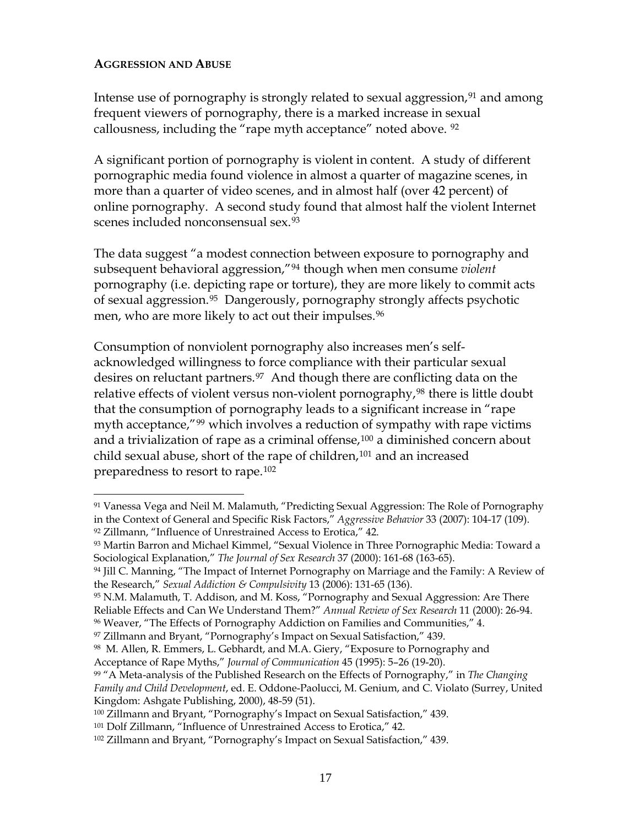#### **AGGRESSION AND ABUSE**

 $\overline{a}$ 

Intense use of pornography is strongly related to sexual aggression, $91$  and among frequent viewers of pornography, there is a marked increase in sexual callousness, including the "rape myth acceptance" noted above. [92](#page-18-1)

A significant portion of pornography is violent in content. A study of different pornographic media found violence in almost a quarter of magazine scenes, in more than a quarter of video scenes, and in almost half (over 42 percent) of online pornography. A second study found that almost half the violent Internet scenes included nonconsensual sex.<sup>[93](#page-18-2)</sup>

The data suggest "a modest connection between exposure to pornography and subsequent behavioral aggression,"[94](#page-18-3) though when men consume *violent* pornography (i.e. depicting rape or torture), they are more likely to commit acts of sexual aggression.[95](#page-18-4) Dangerously, pornography strongly affects psychotic men, who are more likely to act out their impulses.<sup>[96](#page-18-5)</sup>

Consumption of nonviolent pornography also increases men's selfacknowledged willingness to force compliance with their particular sexual desires on reluctant partners.<sup>[97](#page-18-6)</sup> And though there are conflicting data on the relative effects of violent versus non-violent pornography,<sup>[98](#page-18-7)</sup> there is little doubt that the consumption of pornography leads to a significant increase in "rape myth acceptance,"<sup>[99](#page-18-8)</sup> which involves a reduction of sympathy with rape victims and a trivialization of rape as a criminal offense,[100](#page-18-9) a diminished concern about child sexual abuse, short of the rape of children,<sup>[101](#page-18-10)</sup> and an increased preparedness to resort to rape.[102](#page-18-11)

<span id="page-18-0"></span><sup>91</sup> Vanessa Vega and Neil M. Malamuth, "Predicting Sexual Aggression: The Role of Pornography in the Context of General and Specific Risk Factors," *Aggressive Behavior* 33 (2007): 104-17 (109). 92 Zillmann, "Influence of Unrestrained Access to Erotica," 42.

<span id="page-18-2"></span><span id="page-18-1"></span><sup>93</sup> Martin Barron and Michael Kimmel, "Sexual Violence in Three Pornographic Media: Toward a Sociological Explanation," *The Journal of Sex Research* 37 (2000): 161-68 (163-65).

<span id="page-18-3"></span><sup>94</sup> Jill C. Manning, "The Impact of Internet Pornography on Marriage and the Family: A Review of the Research," *Sexual Addiction & Compulsivity* 13 (2006): 131-65 (136).

<span id="page-18-4"></span><sup>95</sup> N.M. Malamuth, T. Addison, and M. Koss, "Pornography and Sexual Aggression: Are There Reliable Effects and Can We Understand Them?" *Annual Review of Sex Research* 11 (2000): 26-94.

<span id="page-18-5"></span><sup>96</sup> Weaver, "The Effects of Pornography Addiction on Families and Communities," 4.

<span id="page-18-6"></span><sup>97</sup> Zillmann and Bryant, "Pornography's Impact on Sexual Satisfaction," 439.

<span id="page-18-7"></span><sup>98</sup> M. Allen, R. Emmers, L. Gebhardt, and M.A. Giery, "Exposure to Pornography and Acceptance of Rape Myths," *Journal of Communication* 45 (1995): 5–26 (19-20).

<span id="page-18-8"></span><sup>99 &</sup>quot;A Meta-analysis of the Published Research on the Effects of Pornography," in *The Changing Family and Child Development*, ed. E. Oddone-Paolucci, M. Genium, and C. Violato (Surrey, United Kingdom: Ashgate Publishing, 2000), 48-59 (51).

<span id="page-18-9"></span><sup>100</sup> Zillmann and Bryant, "Pornography's Impact on Sexual Satisfaction," 439.

<span id="page-18-10"></span><sup>101</sup> Dolf Zillmann, "Influence of Unrestrained Access to Erotica," 42.

<span id="page-18-11"></span><sup>102</sup> Zillmann and Bryant, "Pornography's Impact on Sexual Satisfaction," 439.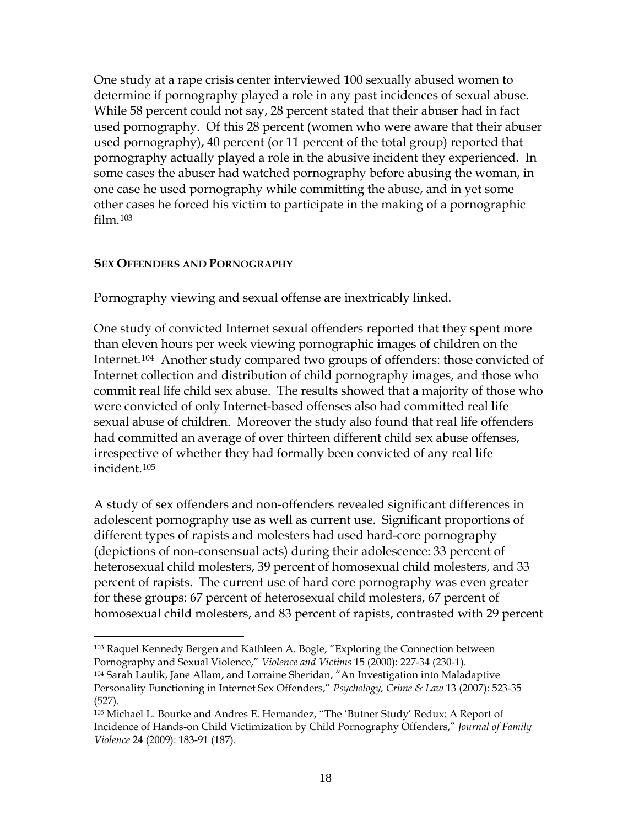One study at a rape crisis center interviewed 100 sexually abused women to determine if pornography played a role in any past incidences of sexual abuse. While 58 percent could not say, 28 percent stated that their abuser had in fact used pornography. Of this 28 percent (women who were aware that their abuser used pornography), 40 percent (or 11 percent of the total group) reported that pornography actually played a role in the abusive incident they experienced. In some cases the abuser had watched pornography before abusing the woman, in one case he used pornography while committing the abuse, and in yet some other cases he forced his victim to participate in the making of a pornographic film.[103](#page-19-0)

#### **SEX OFFENDERS AND PORNOGRAPHY**

Pornography viewing and sexual offense are inextricably linked.

One study of convicted Internet sexual offenders reported that they spent more than eleven hours per week viewing pornographic images of children on the Internet.<sup>[104](#page-19-1)</sup> Another study compared two groups of offenders: those convicted of Internet collection and distribution of child pornography images, and those who commit real life child sex abuse. The results showed that a majority of those who were convicted of only Internet-based offenses also had committed real life sexual abuse of children. Moreover the study also found that real life offenders had committed an average of over thirteen different child sex abuse offenses, irrespective of whether they had formally been convicted of any real life incident.[105](#page-19-2)

A study of sex offenders and non-offenders revealed significant differences in adolescent pornography use as well as current use. Significant proportions of different types of rapists and molesters had used hard-core pornography (depictions of non-consensual acts) during their adolescence: 33 percent of heterosexual child molesters, 39 percent of homosexual child molesters, and 33 percent of rapists. The current use of hard core pornography was even greater for these groups: 67 percent of heterosexual child molesters, 67 percent of homosexual child molesters, and 83 percent of rapists, contrasted with 29 percent

<span id="page-19-0"></span> $\overline{a}$ 103 Raquel Kennedy Bergen and Kathleen A. Bogle, "Exploring the Connection between Pornography and Sexual Violence," *Violence and Victims* 15 (2000): 227-34 (230-1).

<span id="page-19-1"></span><sup>104</sup> Sarah Laulik, Jane Allam, and Lorraine Sheridan, "An Investigation into Maladaptive Personality Functioning in Internet Sex Offenders," *Psychology, Crime & Law* 13 (2007): 523-35 (527).

<span id="page-19-2"></span><sup>105</sup> Michael L. Bourke and Andres E. Hernandez, "The 'Butner Study' Redux: A Report of Incidence of Hands-on Child Victimization by Child Pornography Offenders," *Journal of Family Violence* 24 (2009): 183-91 (187).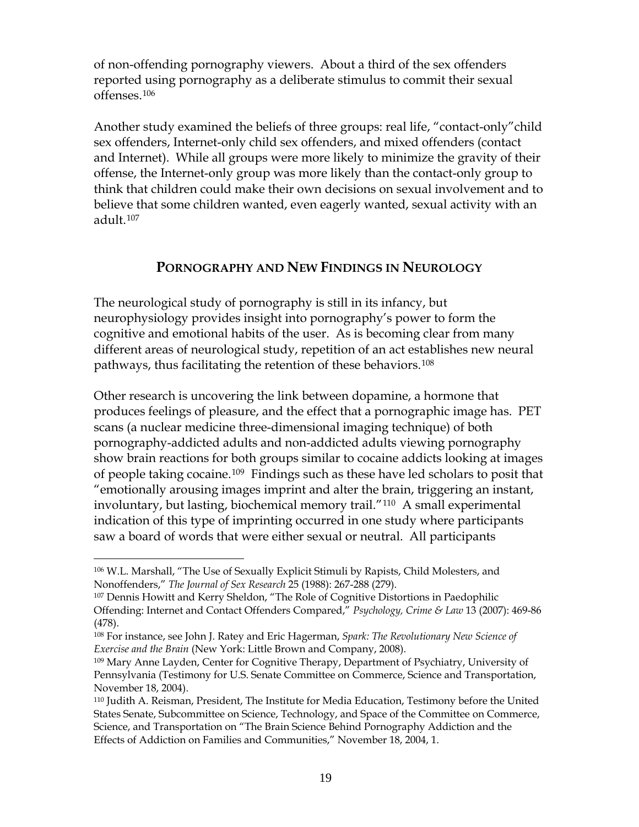of non-offending pornography viewers. About a third of the sex offenders reported using pornography as a deliberate stimulus to commit their sexual offenses.[106](#page-20-0)

Another study examined the beliefs of three groups: real life, "contact-only"child sex offenders, Internet-only child sex offenders, and mixed offenders (contact and Internet). While all groups were more likely to minimize the gravity of their offense, the Internet-only group was more likely than the contact-only group to think that children could make their own decisions on sexual involvement and to believe that some children wanted, even eagerly wanted, sexual activity with an adult.[107](#page-20-1)

## **PORNOGRAPHY AND NEW FINDINGS IN NEUROLOGY**

The neurological study of pornography is still in its infancy, but neurophysiology provides insight into pornography's power to form the cognitive and emotional habits of the user. As is becoming clear from many different areas of neurological study, repetition of an act establishes new neural pathways, thus facilitating the retention of these behaviors.[108](#page-20-2)

Other research is uncovering the link between dopamine, a hormone that produces feelings of pleasure, and the effect that a pornographic image has. PET scans (a nuclear medicine three-dimensional imaging technique) of both pornography-addicted adults and non-addicted adults viewing pornography show brain reactions for both groups similar to cocaine addicts looking at images of people taking cocaine.[109](#page-20-3) Findings such as these have led scholars to posit that "emotionally arousing images imprint and alter the brain, triggering an instant, involuntary, but lasting, biochemical memory trail."[110](#page-20-4) A small experimental indication of this type of imprinting occurred in one study where participants saw a board of words that were either sexual or neutral. All participants

<span id="page-20-0"></span><sup>106</sup> W.L. Marshall, "The Use of Sexually Explicit Stimuli by Rapists, Child Molesters, and Nonoffenders," *The Journal of Sex Research* 25 (1988): 267-288 (279).

<span id="page-20-1"></span><sup>107</sup> Dennis Howitt and Kerry Sheldon, "The Role of Cognitive Distortions in Paedophilic Offending: Internet and Contact Offenders Compared," *Psychology, Crime & Law* 13 (2007): 469-86 (478).

<span id="page-20-2"></span><sup>108</sup> For instance, see John J. Ratey and Eric Hagerman, *[Spark: The Revolutionary New Science of](http://www.amazon.com/Spark-Revolutionary-Science-Exercise-Brain/dp/0316113506/ref=sr_1_3?ie=UTF8&s=books&qid=1255017060&sr=1-3)  [Exercise and the Brain](http://www.amazon.com/Spark-Revolutionary-Science-Exercise-Brain/dp/0316113506/ref=sr_1_3?ie=UTF8&s=books&qid=1255017060&sr=1-3)* (New York: Little Brown and Company, 2008).

<span id="page-20-3"></span><sup>109</sup> Mary Anne Layden, Center for Cognitive Therapy, Department of Psychiatry, University of Pennsylvania (Testimony for U.S. Senate Committee on Commerce, Science and Transportation, November 18, 2004).

<span id="page-20-4"></span><sup>110</sup> Judith A. Reisman, President, The Institute for Media Education, Testimony before the United States Senate, Subcommittee on Science, Technology, and Space of the Committee on Commerce, Science, and Transportation on "The Brain Science Behind Pornography Addiction and the Effects of Addiction on Families and Communities," November 18, 2004, 1.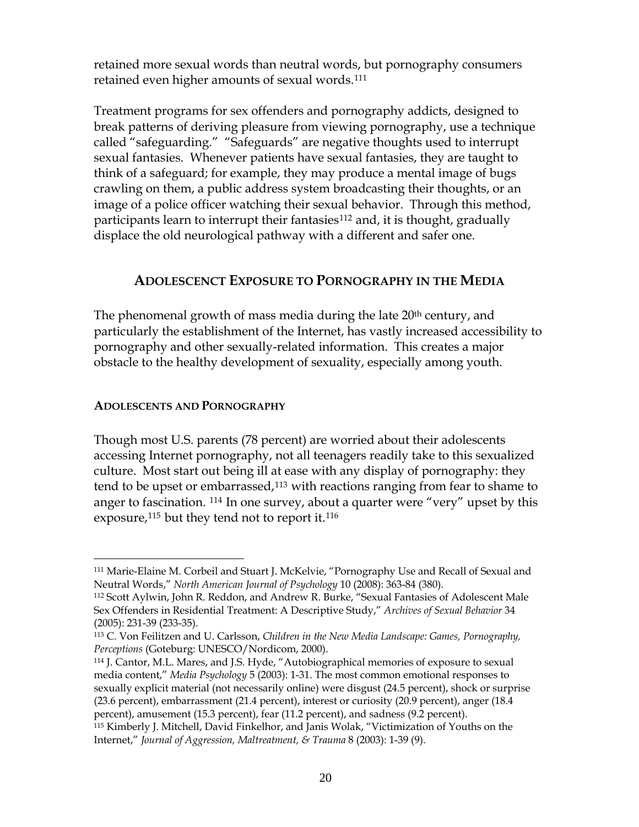retained more sexual words than neutral words, but pornography consumers retained even higher amounts of sexual words.<sup>[111](#page-21-0)</sup>

Treatment programs for sex offenders and pornography addicts, designed to break patterns of deriving pleasure from viewing pornography, use a technique called "safeguarding." "Safeguards" are negative thoughts used to interrupt sexual fantasies. Whenever patients have sexual fantasies, they are taught to think of a safeguard; for example, they may produce a mental image of bugs crawling on them, a public address system broadcasting their thoughts, or an image of a police officer watching their sexual behavior. Through this method, participants learn to interrupt their fantasies<sup>[112](#page-21-1)</sup> and, it is thought, gradually displace the old neurological pathway with a different and safer one.

# **ADOLESCENCT EXPOSURE TO PORNOGRAPHY IN THE MEDIA**

The phenomenal growth of mass media during the late 20<sup>th</sup> century, and particularly the establishment of the Internet, has vastly increased accessibility to pornography and other sexually-related information. This creates a major obstacle to the healthy development of sexuality, especially among youth.

#### **ADOLESCENTS AND PORNOGRAPHY**

<span id="page-21-5"></span> $\overline{a}$ 

Though most U.S. parents (78 percent) are worried about their adolescents accessing Internet pornography, not all teenagers readily take to this sexualized culture. Most start out being ill at ease with any display of pornography: they tend to be upset or embarrassed,[113](#page-21-2) with reactions ranging from fear to shame to anger to fascination. [114](#page-21-3) In one survey, about a quarter were "very" upset by this exposure,<sup>[115](#page-21-4)</sup> but they tend not to report it.<sup>[116](#page-21-5)</sup>

<span id="page-21-3"></span>114 J. Cantor, M.L. Mares, and J.S. Hyde, "Autobiographical memories of exposure to sexual media content," *Media Psychology* 5 (2003): 1-31. The most common emotional responses to sexually explicit material (not necessarily online) were disgust (24.5 percent), shock or surprise (23.6 percent), embarrassment (21.4 percent), interest or curiosity (20.9 percent), anger (18.4 percent), amusement (15.3 percent), fear (11.2 percent), and sadness (9.2 percent).

<span id="page-21-0"></span><sup>111</sup> Marie-Elaine M. Corbeil and Stuart J. McKelvie, "Pornography Use and Recall of Sexual and Neutral Words," *North American Journal of Psychology* 10 (2008): 363-84 (380).

<span id="page-21-1"></span><sup>112</sup> Scott Aylwin, John R. Reddon, and Andrew R. Burke, "Sexual Fantasies of Adolescent Male Sex Offenders in Residential Treatment: A Descriptive Study," *Archives of Sexual Behavior* 34 (2005): 231-39 (233-35).

<span id="page-21-2"></span><sup>113</sup> C. Von Feilitzen and U. Carlsson, *Children in the New Media Landscape: Games, Pornography, Perceptions* (Goteburg: UNESCO/Nordicom, 2000).

<span id="page-21-4"></span><sup>115</sup> Kimberly J. Mitchell, David Finkelhor, and Janis Wolak, "Victimization of Youths on the Internet," *Journal of Aggression, Maltreatment, & Trauma* 8 (2003): 1-39 (9).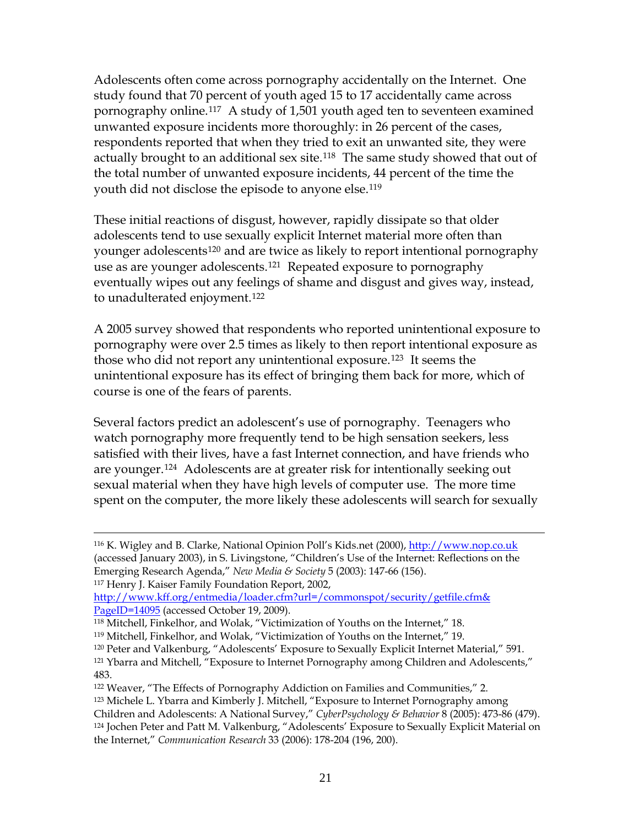Adolescents often come across pornography accidentally on the Internet. One study found that 70 percent of youth aged 15 to 17 accidentally came across pornography online.[117](#page-22-0) A study of 1,501 youth aged ten to seventeen examined unwanted exposure incidents more thoroughly: in 26 percent of the cases, respondents reported that when they tried to exit an unwanted site, they were actually brought to an additional sex site.<sup>[118](#page-22-1)</sup> The same study showed that out of the total number of unwanted exposure incidents, 44 percent of the time the youth did not disclose the episode to anyone else.<sup>[119](#page-22-2)</sup>

These initial reactions of disgust, however, rapidly dissipate so that older adolescents tend to use sexually explicit Internet material more often than younger adolescents<sup>[120](#page-22-3)</sup> and are twice as likely to report intentional pornography use as are younger adolescents.[121](#page-22-4) Repeated exposure to pornography eventually wipes out any feelings of shame and disgust and gives way, instead, to unadulterated enjoyment.[122](#page-22-5)

A 2005 survey showed that respondents who reported unintentional exposure to pornography were over 2.5 times as likely to then report intentional exposure as those who did not report any unintentional exposure.[123](#page-22-6) It seems the unintentional exposure has its effect of bringing them back for more, which of course is one of the fears of parents.

Several factors predict an adolescent's use of pornography. Teenagers who watch pornography more frequently tend to be high sensation seekers, less satisfied with their lives, have a fast Internet connection, and have friends who are younger.[124](#page-22-7) Adolescents are at greater risk for intentionally seeking out sexual material when they have high levels of computer use. The more time spent on the computer, the more likely these adolescents will search for sexually

<span id="page-22-0"></span>117 Henry J. Kaiser Family Foundation Report, 2002,

 $\overline{a}$ 

<span id="page-22-3"></span>120 Peter and Valkenburg, "Adolescents' Exposure to Sexually Explicit Internet Material," 591.

<sup>116</sup> K. Wigley and B. Clarke, National Opinion Poll's Kids.net (2000), [http://www.nop.co.uk](http://www.nop.co.uk/) (accessed January 2003), in S. Livingstone, "Children's Use of the Internet: Reflections on the Emerging Research Agenda," *New Media & Society* 5 (2003): 147-66 (156).

[http://www.kff.org/entmedia/loader.cfm?url=/commonspot/security/getfile.cfm&](http://www.kff.org/entmedia/loader.cfm?url=/commonspot/security/getfile.cfm&%20PageID=14095)  [PageID=14095](http://www.kff.org/entmedia/loader.cfm?url=/commonspot/security/getfile.cfm&%20PageID=14095) (accessed October 19, 2009).

<span id="page-22-1"></span><sup>118</sup> Mitchell, Finkelhor, and Wolak, "Victimization of Youths on the Internet," 18.

<span id="page-22-2"></span><sup>119</sup> Mitchell, Finkelhor, and Wolak, "Victimization of Youths on the Internet," 19.

<span id="page-22-4"></span><sup>121</sup> Ybarra and Mitchell, "Exposure to Internet Pornography among Children and Adolescents," 483.

<span id="page-22-5"></span><sup>122</sup> Weaver, "The Effects of Pornography Addiction on Families and Communities," 2.

<span id="page-22-6"></span><sup>123</sup> Michele L. Ybarra and Kimberly J. Mitchell, "Exposure to Internet Pornography among

Children and Adolescents: A National Survey," *CyberPsychology & Behavior* 8 (2005): 473-86 (479).

<span id="page-22-7"></span><sup>124</sup> Jochen Peter and Patt M. Valkenburg, "Adolescents' Exposure to Sexually Explicit Material on the Internet," *Communication Research* 33 (2006): 178-204 (196, 200).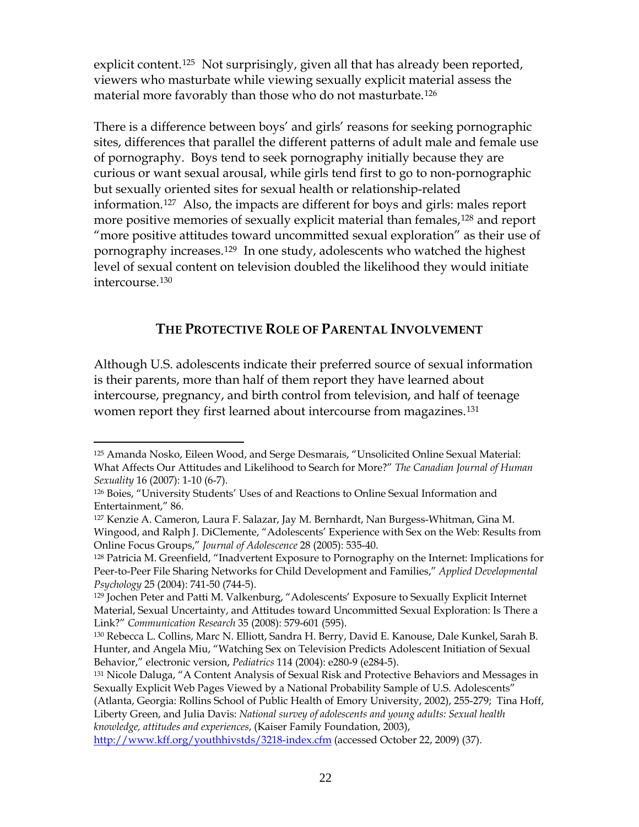explicit content.<sup>[125](#page-23-0)</sup> Not surprisingly, given all that has already been reported, viewers who masturbate while viewing sexually explicit material assess the material more favorably than those who do not masturbate.[126](#page-23-1)

There is a difference between boys' and girls' reasons for seeking pornographic sites, differences that parallel the different patterns of adult male and female use of pornography. Boys tend to seek pornography initially because they are curious or want sexual arousal, while girls tend first to go to non-pornographic but sexually oriented sites for sexual health or relationship-related information.[127](#page-23-2) Also, the impacts are different for boys and girls: males report more positive memories of sexually explicit material than females,<sup>[128](#page-23-3)</sup> and report "more positive attitudes toward uncommitted sexual exploration" as their use of pornography increases.[129](#page-23-4) In one study, adolescents who watched the highest level of sexual content on television doubled the likelihood they would initiate intercourse.[130](#page-23-5)

# **THE PROTECTIVE ROLE OF PARENTAL INVOLVEMENT**

Although U.S. adolescents indicate their preferred source of sexual information is their parents, more than half of them report they have learned about intercourse, pregnancy, and birth control from television, and half of teenage women report they first learned about intercourse from magazines.<sup>[131](#page-23-6)</sup>

<span id="page-23-0"></span><sup>125</sup> Amanda Nosko, Eileen Wood, and Serge Desmarais, "Unsolicited Online Sexual Material: What Affects Our Attitudes and Likelihood to Search for More?" *The Canadian Journal of Human Sexuality* 16 (2007): 1-10 (6-7).

<span id="page-23-1"></span><sup>126</sup> Boies, "University Students' Uses of and Reactions to Online Sexual Information and Entertainment," 86.

<span id="page-23-2"></span><sup>127</sup> Kenzie A. Cameron, Laura F. Salazar, Jay M. Bernhardt, Nan Burgess-Whitman, Gina M. Wingood, and Ralph J. DiClemente, "Adolescents' Experience with Sex on the Web: Results from Online Focus Groups," *Journal of Adolescence* 28 (2005): 535-40.

<span id="page-23-3"></span><sup>128</sup> Patricia M. Greenfield, "Inadvertent Exposure to Pornography on the Internet: Implications for Peer-to-Peer File Sharing Networks for Child Development and Families," *Applied Developmental Psychology* 25 (2004): 741-50 (744-5).

<span id="page-23-4"></span><sup>129</sup> Jochen Peter and Patti M. Valkenburg, "Adolescents' Exposure to Sexually Explicit Internet Material, Sexual Uncertainty, and Attitudes toward Uncommitted Sexual Exploration: Is There a Link?" *Communication Research* 35 (2008): 579-601 (595).

<span id="page-23-5"></span><sup>130</sup> Rebecca L. Collins, Marc N. Elliott, Sandra H. Berry, David E. Kanouse, Dale Kunkel, Sarah B. Hunter, and Angela Miu, "Watching Sex on Television Predicts Adolescent Initiation of Sexual Behavior," electronic version, *Pediatrics* 114 (2004): e280-9 (e284-5).

<span id="page-23-6"></span><sup>&</sup>lt;sup>131</sup> Nicole Daluga, "A Content Analysis of Sexual Risk and Protective Behaviors and Messages in Sexually Explicit Web Pages Viewed by a National Probability Sample of U.S. Adolescents"

<sup>(</sup>Atlanta, Georgia: Rollins School of Public Health of Emory University, 2002), 255-279; Tina Hoff, Liberty Green, and Julia Davis: *National survey of adolescents and young adults: Sexual health knowledge, attitudes and experiences*, (Kaiser Family Foundation, 2003),

<http://www.kff.org/youthhivstds/3218-index.cfm>(accessed October 22, 2009) (37).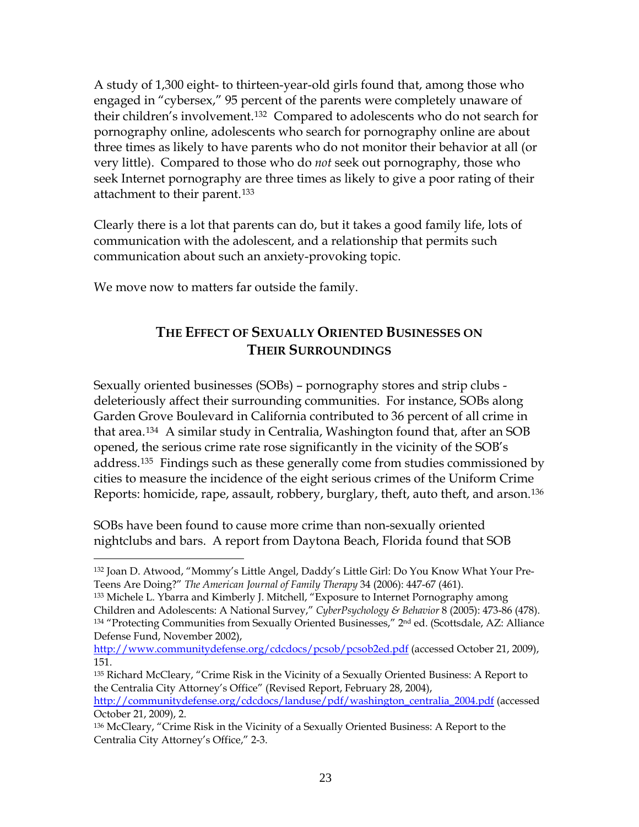A study of 1,300 eight- to thirteen-year-old girls found that, among those who engaged in "cybersex," 95 percent of the parents were completely unaware of their children's involvement.[132](#page-24-0) Compared to adolescents who do not search for pornography online, adolescents who search for pornography online are about three times as likely to have parents who do not monitor their behavior at all (or very little). Compared to those who do *not* seek out pornography, those who seek Internet pornography are three times as likely to give a poor rating of their attachment to their parent.[133](#page-24-1)

Clearly there is a lot that parents can do, but it takes a good family life, lots of communication with the adolescent, and a relationship that permits such communication about such an anxiety-provoking topic.

We move now to matters far outside the family.

1

# **THE EFFECT OF SEXUALLY ORIENTED BUSINESSES ON THEIR SURROUNDINGS**

Sexually oriented businesses (SOBs) – pornography stores and strip clubs deleteriously affect their surrounding communities. For instance, SOBs along Garden Grove Boulevard in California contributed to 36 percent of all crime in that area.[134](#page-24-2) A similar study in Centralia, Washington found that, after an SOB opened, the serious crime rate rose significantly in the vicinity of the SOB's address.[135](#page-24-3) Findings such as these generally come from studies commissioned by cities to measure the incidence of the eight serious crimes of the Uniform Crime Reports: homicide, rape, assault, robbery, burglary, theft, auto theft, and arson.[136](#page-24-4)

SOBs have been found to cause more crime than non-sexually oriented nightclubs and bars. A report from Daytona Beach, Florida found that SOB

<span id="page-24-2"></span><span id="page-24-1"></span>133 Michele L. Ybarra and Kimberly J. Mitchell, "Exposure to Internet Pornography among Children and Adolescents: A National Survey," *CyberPsychology & Behavior* 8 (2005): 473-86 (478). 134 "Protecting Communities from Sexually Oriented Businesses," 2nd ed. (Scottsdale, AZ: Alliance Defense Fund, November 2002),

<http://www.communitydefense.org/cdcdocs/pcsob/pcsob2ed.pdf>(accessed October 21, 2009), 151.

[http://communitydefense.org/cdcdocs/landuse/pdf/washington\\_centralia\\_2004.pdf](http://communitydefense.org/cdcdocs/landuse/pdf/washington_centralia_2004.pdf) (accessed October 21, 2009), 2.

<span id="page-24-0"></span><sup>132</sup> Joan D. Atwood, "Mommy's Little Angel, Daddy's Little Girl: Do You Know What Your Pre-Teens Are Doing?" *The American Journal of Family Therapy* 34 (2006): 447-67 (461).

<span id="page-24-3"></span><sup>135</sup> Richard McCleary, "Crime Risk in the Vicinity of a Sexually Oriented Business: A Report to the Centralia City Attorney's Office" (Revised Report, February 28, 2004),

<span id="page-24-4"></span><sup>136</sup> McCleary, "Crime Risk in the Vicinity of a Sexually Oriented Business: A Report to the Centralia City Attorney's Office," 2-3.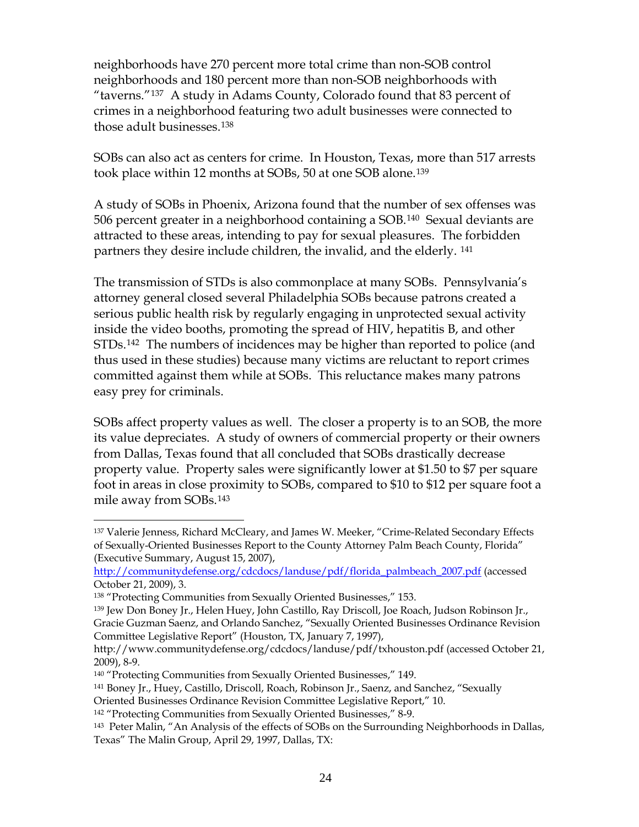neighborhoods have 270 percent more total crime than non-SOB control neighborhoods and 180 percent more than non-SOB neighborhoods with "taverns."[137](#page-25-0) A study in Adams County, Colorado found that 83 percent of crimes in a neighborhood featuring two adult businesses were connected to those adult businesses.[138](#page-25-1)

SOBs can also act as centers for crime. In Houston, Texas, more than 517 arrests took place within 12 months at SOBs, 50 at one SOB alone.[139](#page-25-2)

A study of SOBs in Phoenix, Arizona found that the number of sex offenses was 506 percent greater in a neighborhood containing a SOB.[140](#page-25-3) Sexual deviants are attracted to these areas, intending to pay for sexual pleasures. The forbidden partners they desire include children, the invalid, and the elderly. [141](#page-25-4)

The transmission of STDs is also commonplace at many SOBs. Pennsylvania's attorney general closed several Philadelphia SOBs because patrons created a serious public health risk by regularly engaging in unprotected sexual activity inside the video booths, promoting the spread of HIV, hepatitis B, and other STDs.[142](#page-25-5) The numbers of incidences may be higher than reported to police (and thus used in these studies) because many victims are reluctant to report crimes committed against them while at SOBs. This reluctance makes many patrons easy prey for criminals.

SOBs affect property values as well. The closer a property is to an SOB, the more its value depreciates. A study of owners of commercial property or their owners from Dallas, Texas found that all concluded that SOBs drastically decrease property value. Property sales were significantly lower at \$1.50 to \$7 per square foot in areas in close proximity to SOBs, compared to \$10 to \$12 per square foot a mile away from SOBs.[143](#page-25-6)

<span id="page-25-0"></span> $\overline{a}$ 137 Valerie Jenness, Richard McCleary, and James W. Meeker, "Crime-Related Secondary Effects of Sexually-Oriented Businesses Report to the County Attorney Palm Beach County, Florida" (Executive Summary, August 15, 2007),

[http://communitydefense.org/cdcdocs/landuse/pdf/florida\\_palmbeach\\_2007.pdf](http://communitydefense.org/cdcdocs/landuse/pdf/florida_palmbeach_2007.pdf) (accessed October 21, 2009), 3.

<span id="page-25-1"></span><sup>138 &</sup>quot;Protecting Communities from Sexually Oriented Businesses," 153.

<span id="page-25-2"></span><sup>139</sup> Jew Don Boney Jr., Helen Huey, John Castillo, Ray Driscoll, Joe Roach, Judson Robinson Jr., Gracie Guzman Saenz, and Orlando Sanchez, "Sexually Oriented Businesses Ordinance Revision Committee Legislative Report" (Houston, TX, January 7, 1997),

http://www.communitydefense.org/cdcdocs/landuse/pdf/txhouston.pdf (accessed October 21, 2009), 8-9.

<span id="page-25-4"></span><span id="page-25-3"></span><sup>&</sup>lt;sup>140</sup> "Protecting Communities from Sexually Oriented Businesses," 149.

<sup>141</sup> Boney Jr., Huey, Castillo, Driscoll, Roach, Robinson Jr., Saenz, and Sanchez, "Sexually

Oriented Businesses Ordinance Revision Committee Legislative Report," 10.

<span id="page-25-5"></span><sup>142 &</sup>quot;Protecting Communities from Sexually Oriented Businesses," 8-9.

<span id="page-25-6"></span><sup>143</sup> Peter Malin, "An Analysis of the effects of SOBs on the Surrounding Neighborhoods in Dallas, Texas" The Malin Group, April 29, 1997, Dallas, TX: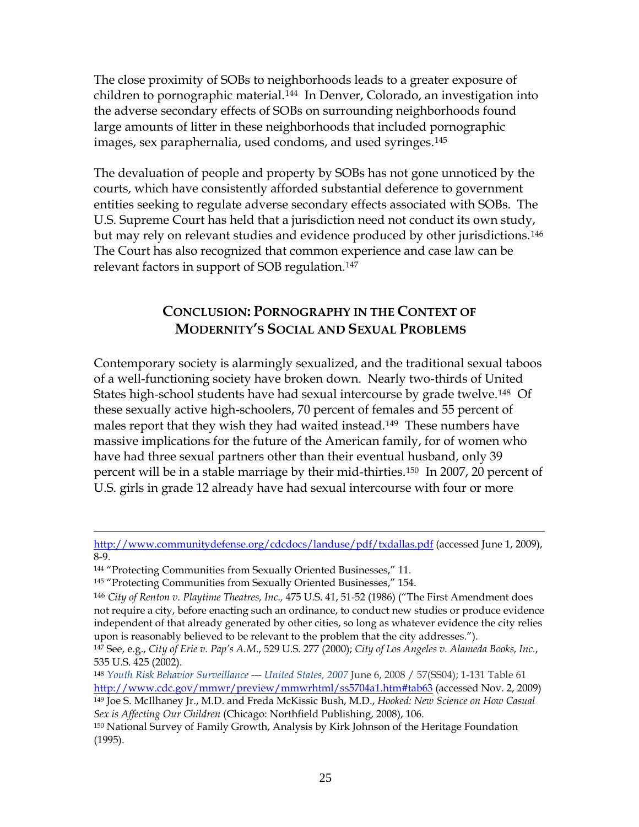The close proximity of SOBs to neighborhoods leads to a greater exposure of children to pornographic material.[144](#page-26-0) In Denver, Colorado, an investigation into the adverse secondary effects of SOBs on surrounding neighborhoods found large amounts of litter in these neighborhoods that included pornographic images, sex paraphernalia, used condoms, and used syringes.[145](#page-26-1)

The devaluation of people and property by SOBs has not gone unnoticed by the courts, which have consistently afforded substantial deference to government entities seeking to regulate adverse secondary effects associated with SOBs. The U.S. Supreme Court has held that a jurisdiction need not conduct its own study, but may rely on relevant studies and evidence produced by other jurisdictions.[146](#page-26-2) The Court has also recognized that common experience and case law can be relevant factors in support of SOB regulation.[147](#page-26-3)

# **CONCLUSION: PORNOGRAPHY IN THE CONTEXT OF MODERNITY'S SOCIAL AND SEXUAL PROBLEMS**

Contemporary society is alarmingly sexualized, and the traditional sexual taboos of a well-functioning society have broken down. Nearly two-thirds of United States high-school students have had sexual intercourse by grade twelve.<sup>[148](#page-26-4)</sup> Of these sexually active high-schoolers, 70 percent of females and 55 percent of males report that they wish they had waited instead.<sup>[149](#page-26-5)</sup> These numbers have massive implications for the future of the American family, for of women who have had three sexual partners other than their eventual husband, only 39 percent will be in a stable marriage by their mid-thirties.[150](#page-26-6) In 2007, 20 percent of U.S. girls in grade 12 already have had sexual intercourse with four or more

 $\overline{a}$ 

<span id="page-26-5"></span>*Sex is Affecting Our Children* (Chicago: Northfield Publishing, 2008), 106.

<http://www.communitydefense.org/cdcdocs/landuse/pdf/txdallas.pdf> (accessed June 1, 2009), 8-9.

<span id="page-26-0"></span><sup>144 &</sup>quot;Protecting Communities from Sexually Oriented Businesses," 11.

<span id="page-26-1"></span><sup>&</sup>lt;sup>145</sup> "Protecting Communities from Sexually Oriented Businesses," 154.

<span id="page-26-2"></span><sup>146</sup> *City of Renton v. Playtime Theatres, Inc.,* 475 U.S. 41, 51-52 (1986) ("The First Amendment does not require a city, before enacting such an ordinance, to conduct new studies or produce evidence independent of that already generated by other cities, so long as whatever evidence the city relies upon is reasonably believed to be relevant to the problem that the city addresses.").

<span id="page-26-3"></span><sup>147</sup> See, e.g., *City of Erie v. Pap's A.M.*, 529 U.S. 277 (2000); *City of Los Angeles v. Alameda Books, Inc.*, 535 U.S. 425 (2002).

<span id="page-26-4"></span><sup>148</sup> *Youth Risk Behavior Surveillance --- United States, 2007* June 6, 2008 / 57(SS04); 1-131 Table 61 <http://www.cdc.gov/mmwr/preview/mmwrhtml/ss5704a1.htm#tab63>(accessed Nov. 2, 2009) 149 Joe S. McIlhaney Jr., M.D. and Freda McKissic Bush, M.D., *Hooked: New Science on How Casual* 

<span id="page-26-6"></span><sup>150</sup> National Survey of Family Growth, Analysis by Kirk Johnson of the Heritage Foundation (1995).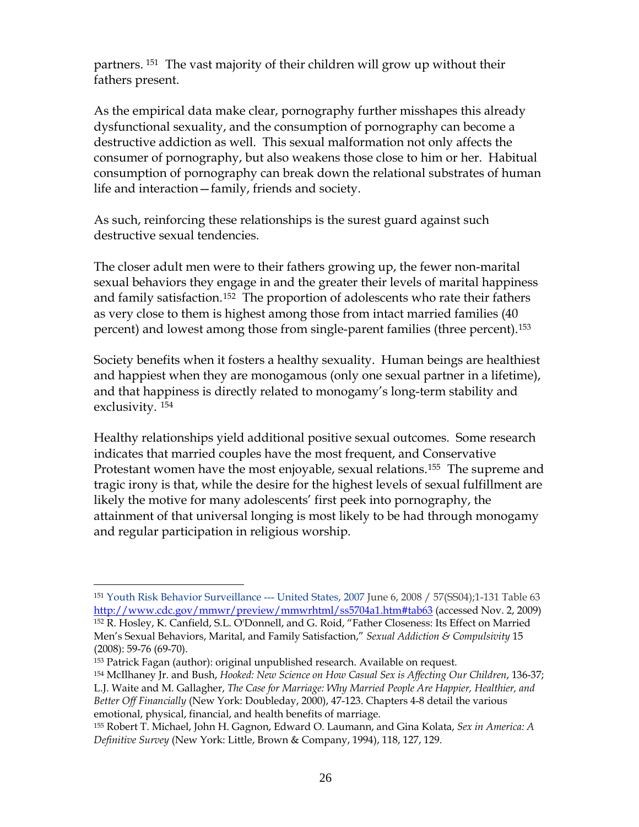partners. [151](#page-27-0) The vast majority of their children will grow up without their fathers present.

As the empirical data make clear, pornography further misshapes this already dysfunctional sexuality, and the consumption of pornography can become a destructive addiction as well. This sexual malformation not only affects the consumer of pornography, but also weakens those close to him or her. Habitual consumption of pornography can break down the relational substrates of human life and interaction—family, friends and society.

As such, reinforcing these relationships is the surest guard against such destructive sexual tendencies.

The closer adult men were to their fathers growing up, the fewer non-marital sexual behaviors they engage in and the greater their levels of marital happiness and family satisfaction.<sup>[152](#page-27-1)</sup> The proportion of adolescents who rate their fathers as very close to them is highest among those from intact married families (40 percent) and lowest among those from single-parent families (three percent).[153](#page-27-2)

Society benefits when it fosters a healthy sexuality. Human beings are healthiest and happiest when they are monogamous (only one sexual partner in a lifetime), and that happiness is directly related to monogamy's long-term stability and exclusivity. [154](#page-27-3)

Healthy relationships yield additional positive sexual outcomes. Some research indicates that married couples have the most frequent, and Conservative Protestant women have the most enjoyable, sexual relations.<sup>[155](#page-27-4)</sup> The supreme and tragic irony is that, while the desire for the highest levels of sexual fulfillment are likely the motive for many adolescents' first peek into pornography, the attainment of that universal longing is most likely to be had through monogamy and regular participation in religious worship.

<span id="page-27-1"></span><span id="page-27-0"></span><sup>151</sup> Youth Risk Behavior Surveillance --- United States, 2007 June 6, 2008 / 57(SS04);1-131 Table 63 <http://www.cdc.gov/mmwr/preview/mmwrhtml/ss5704a1.htm#tab63>(accessed Nov. 2, 2009) 152 R. Hosley, K. Canfield, S.L. O'Donnell, and G. Roid, "Father Closeness: Its Effect on Married Men's Sexual Behaviors, Marital, and Family Satisfaction," *[Sexual Addiction & Compulsivity](http://www.informaworld.com/smpp/title%7Econtent=t713658059%7Edb=all)* [15](http://www.informaworld.com/smpp/title~content=t713658059~db=all~tab=issueslist~branches=15#v15) (2008): 59-76 (69-70).

<span id="page-27-2"></span><sup>153</sup> Patrick Fagan (author): original unpublished research. Available on request.

<span id="page-27-3"></span><sup>154</sup> McIlhaney Jr. and Bush, *Hooked: New Science on How Casual Sex is Affecting Our Children*, 136-37; L.J. Waite and M. Gallagher, *The Case for Marriage: Why Married People Are Happier, Healthier, and Better Off Financially* (New York: Doubleday, 2000), 47-123. Chapters 4-8 detail the various emotional, physical, financial, and health benefits of marriage.

<span id="page-27-4"></span><sup>155</sup> Robert T. Michael, John H. Gagnon, Edward O. Laumann, and Gina Kolata, *Sex in America: A Definitive Survey* (New York: Little, Brown & Company, 1994), 118, 127, 129.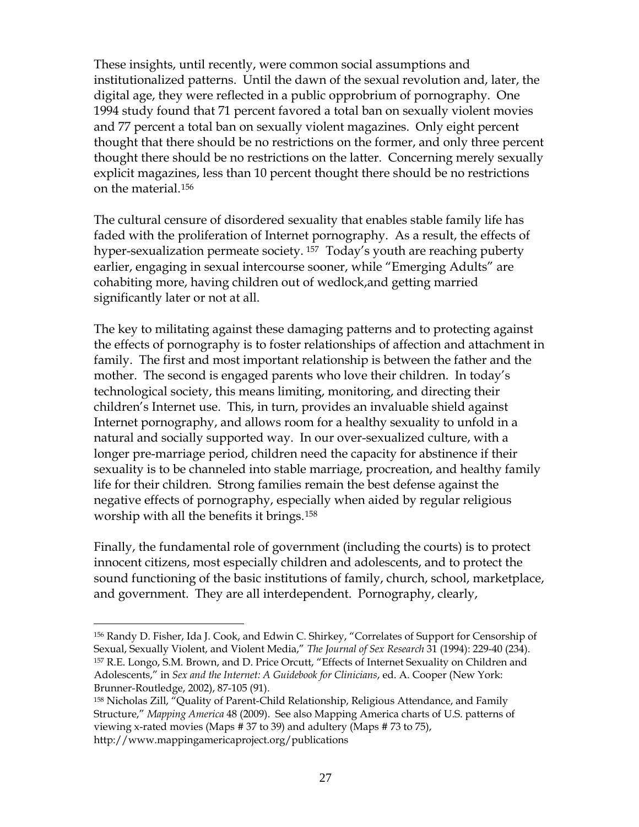These insights, until recently, were common social assumptions and institutionalized patterns. Until the dawn of the sexual revolution and, later, the digital age, they were reflected in a public opprobrium of pornography. One 1994 study found that 71 percent favored a total ban on sexually violent movies and 77 percent a total ban on sexually violent magazines. Only eight percent thought that there should be no restrictions on the former, and only three percent thought there should be no restrictions on the latter. Concerning merely sexually explicit magazines, less than 10 percent thought there should be no restrictions on the material.[156](#page-28-0)

The cultural censure of disordered sexuality that enables stable family life has faded with the proliferation of Internet pornography. As a result, the effects of hyper-sexualization permeate society. <sup>[157](#page-28-1)</sup> Today's youth are reaching puberty earlier, engaging in sexual intercourse sooner, while "Emerging Adults" are cohabiting more, having children out of wedlock,and getting married significantly later or not at all.

The key to militating against these damaging patterns and to protecting against the effects of pornography is to foster relationships of affection and attachment in family. The first and most important relationship is between the father and the mother. The second is engaged parents who love their children. In today's technological society, this means limiting, monitoring, and directing their children's Internet use. This, in turn, provides an invaluable shield against Internet pornography, and allows room for a healthy sexuality to unfold in a natural and socially supported way. In our over-sexualized culture, with a longer pre-marriage period, children need the capacity for abstinence if their sexuality is to be channeled into stable marriage, procreation, and healthy family life for their children. Strong families remain the best defense against the negative effects of pornography, especially when aided by regular religious worship with all the benefits it brings.[158](#page-28-2)

Finally, the fundamental role of government (including the courts) is to protect innocent citizens, most especially children and adolescents, and to protect the sound functioning of the basic institutions of family, church, school, marketplace, and government. They are all interdependent. Pornography, clearly,

<span id="page-28-1"></span><span id="page-28-0"></span><sup>156</sup> Randy D. Fisher, Ida J. Cook, and Edwin C. Shirkey, "Correlates of Support for Censorship of Sexual, Sexually Violent, and Violent Media," *The Journal of Sex Research* 31 (1994): 229-40 (234). 157 R.E. Longo, S.M. Brown, and D. Price Orcutt, "Effects of Internet Sexuality on Children and Adolescents," in *Sex and the Internet: A Guidebook for Clinicians*, ed. A. Cooper (New York: Brunner-Routledge, 2002), 87-105 (91).

<span id="page-28-2"></span><sup>158</sup> Nicholas Zill, "Quality of Parent-Child Relationship, Religious Attendance, and Family Structure," *Mapping America* 48 (2009). See also Mapping America charts of U.S. patterns of viewing x-rated movies (Maps # 37 to 39) and adultery (Maps # 73 to 75), http://www.mappingamericaproject.org/publications